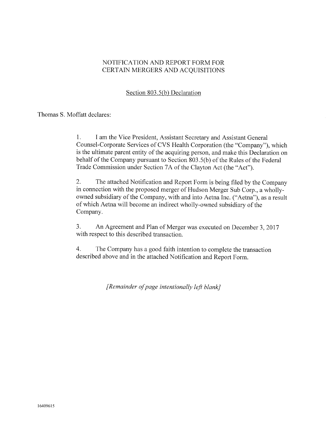# NOTIFICATION AND REPORT FORM FOR CERTAIN MERGERS AND ACQUISITIONS

# Section  $803.5(b)$  Declaration

## Thomas S. Moffatt declares:

1. I am the Vice President, Assistant Secretary and Assistant General Counsel-Corporate Services of CVS Health Corporation (the "Company"), which is the ultimate parent entity of the acquiring person, and make this Declaration on behalf of the Company pursuant to Section 803.5(b) of the Rules of the Federal Trade Commission under Section 7A of the Clayton Act (the "Act").

2. The attached Notification and Report Form is being filed by the Company in connection with the proposed merger of Hudson Merger Sub Corp., a whollyowned subsidiary of the Company, with and into Aetna Inc. ("Aetna"), as a result of which Aetna will become an indirect wholly-owned subsidiary of the Company.

3. An Agreement and Plan of Merger was executed on December 3, 2017 with respect to this described transaction.

4. The Company has a good faith intention to complete the transaction described above and in the attached Notification and Report Form.

[Remainder of page intentionally left blank]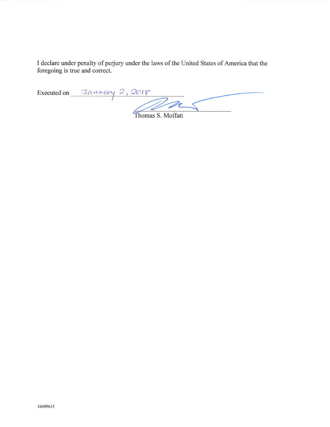I declare under penalty of perjury under the laws of the United States of America that the foregoing is true and correct.

Executed on January 2, 2018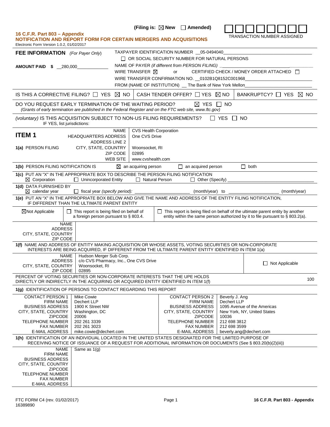| 16 C.F.R. Part 803 - Appendix<br>Electronic Form Version 1.0.2, 01/02/2017                                                                                                                                                                                                                                                                                                                                                                    | NOTIFICATION AND REPORT FORM FOR CERTAIN MERGERS AND ACQUISITIONS                                                                                                                                                                                                                                                                                                                                                                                                                           |                                                                           | (Filing is: $\boxtimes$ New $\Box$ Amended)                                                                                                                                                                            |                      | <b>TRANSACTION NUMBER ASSIGNED</b> |
|-----------------------------------------------------------------------------------------------------------------------------------------------------------------------------------------------------------------------------------------------------------------------------------------------------------------------------------------------------------------------------------------------------------------------------------------------|---------------------------------------------------------------------------------------------------------------------------------------------------------------------------------------------------------------------------------------------------------------------------------------------------------------------------------------------------------------------------------------------------------------------------------------------------------------------------------------------|---------------------------------------------------------------------------|------------------------------------------------------------------------------------------------------------------------------------------------------------------------------------------------------------------------|----------------------|------------------------------------|
| TAXPAYER IDENTIFICATION NUMBER 05-0494040<br><b>FEE INFORMATION</b> (For Payer Only)<br>$\Box$ OR SOCIAL SECURITY NUMBER FOR NATURAL PERSONS<br>NAME OF PAYER (if different from PERSON FILING) ____<br><b>AMOUNT PAID \$ _280,000______</b><br>CERTIFIED CHECK / MONEY ORDER ATTACHED □<br>WIRE TRANSFER $\boxtimes$<br>or<br>WIRE TRANSFER CONFIRMATION NO. 0102B1Q8152C001968<br>FROM (NAME OF INSTITUTION) _ The Bank of New York Mellon_ |                                                                                                                                                                                                                                                                                                                                                                                                                                                                                             |                                                                           |                                                                                                                                                                                                                        |                      |                                    |
| IS THIS A CORRECTIVE FILING? $\Box$ YES $\boxtimes$ NO<br>CASH TENDER OFFER? $\Box$ YES $\boxtimes$ NO<br>BANKRUPTCY? $\Box$ YES $\boxtimes$ NO                                                                                                                                                                                                                                                                                               |                                                                                                                                                                                                                                                                                                                                                                                                                                                                                             |                                                                           |                                                                                                                                                                                                                        |                      |                                    |
|                                                                                                                                                                                                                                                                                                                                                                                                                                               | DO YOU REQUEST EARLY TERMINATION OF THE WAITING PERIOD?                                                                                                                                                                                                                                                                                                                                                                                                                                     |                                                                           | M YES<br>(Grants of early termination are published in the Federal Register and on the FTC web site, www.ftc.gov)                                                                                                      | $\Box$ NO            |                                    |
| IF YES, list jurisdictions:                                                                                                                                                                                                                                                                                                                                                                                                                   | (voluntary) IS THIS ACQUISITION SUBJECT TO NON-US FILING REQUIREMENTS?                                                                                                                                                                                                                                                                                                                                                                                                                      |                                                                           |                                                                                                                                                                                                                        | $\Box$ YES $\Box$ NO |                                    |
| <b>ITEM1</b><br>1(a) PERSON FILING                                                                                                                                                                                                                                                                                                                                                                                                            | <b>NAME</b><br><b>HEADQUARTERS ADDRESS</b><br><b>ADDRESS LINE 2</b><br>CITY, STATE, COUNTRY<br>ZIP CODE                                                                                                                                                                                                                                                                                                                                                                                     | <b>CVS Health Corporation</b><br>One CVS Drive<br>Woonsocket, RI<br>02895 |                                                                                                                                                                                                                        |                      |                                    |
|                                                                                                                                                                                                                                                                                                                                                                                                                                               | <b>WEB SITE</b>                                                                                                                                                                                                                                                                                                                                                                                                                                                                             | www.cvshealth.com                                                         |                                                                                                                                                                                                                        |                      |                                    |
| 1(b) PERSON FILING NOTIFICATION IS                                                                                                                                                                                                                                                                                                                                                                                                            | 1(c) PUT AN "X" IN THE APPROPRIATE BOX TO DESCRIBE THE PERSON FILING NOTIFICATION                                                                                                                                                                                                                                                                                                                                                                                                           | $\boxtimes$ an acquiring person                                           | $\Box$ an acquired person                                                                                                                                                                                              |                      | $\Box$ both                        |
| $\boxtimes$ Corporation                                                                                                                                                                                                                                                                                                                                                                                                                       | □ Unincorporated Entity                                                                                                                                                                                                                                                                                                                                                                                                                                                                     | □ Natural Person                                                          | $\Box$ Other (Specify) $\Box$                                                                                                                                                                                          |                      |                                    |
| 1(d) DATA FURNISHED BY<br>$\boxtimes$ calendar year                                                                                                                                                                                                                                                                                                                                                                                           |                                                                                                                                                                                                                                                                                                                                                                                                                                                                                             |                                                                           | □ fiscal year (specify period): _________________________ (month/year) to ____                                                                                                                                         |                      | (month/year)                       |
| 1(e) PUT AN "X" IN THE APPROPRIATE BOX BELOW AND GIVE THE NAME AND ADDRESS OF THE ENTITY FILING NOTIFICATION,<br>IF DIFFERENT THAN THE ULTIMATE PARENT ENTITY                                                                                                                                                                                                                                                                                 |                                                                                                                                                                                                                                                                                                                                                                                                                                                                                             |                                                                           |                                                                                                                                                                                                                        |                      |                                    |
| $\Box$ This report is being filed on behalf of<br>$\Box$ This report is being filed on behalf of the ultimate parent entity by another<br>$\boxtimes$ Not Applicable<br>a foreign person pursuant to $\S$ 803.4.<br>entity within the same person authorized by it to file pursuant to $\S$ 803.2(a).                                                                                                                                         |                                                                                                                                                                                                                                                                                                                                                                                                                                                                                             |                                                                           |                                                                                                                                                                                                                        |                      |                                    |
| <b>NAME</b><br><b>ADDRESS</b><br>CITY, STATE, COUNTRY<br>ZIP CODE                                                                                                                                                                                                                                                                                                                                                                             |                                                                                                                                                                                                                                                                                                                                                                                                                                                                                             |                                                                           |                                                                                                                                                                                                                        |                      |                                    |
|                                                                                                                                                                                                                                                                                                                                                                                                                                               |                                                                                                                                                                                                                                                                                                                                                                                                                                                                                             |                                                                           | 1(f) NAME AND ADDRESS OF ENTITY MAKING ACQUISITION OR WHOSE ASSETS, VOTING SECURITIES OR NON-CORPORATE<br>INTERESTS ARE BEING ACQUIRED, IF DIFFERENT FROM THE ULTIMATE PARENT ENTITY IDENTIFIED IN ITEM 1(a)           |                      |                                    |
| NAME<br><b>ADDRESS</b><br>CITY, STATE, COUNTRY   Woonsocket, RI<br>ZIP CODE                                                                                                                                                                                                                                                                                                                                                                   | Hudson Merger Sub Corp.<br>c/o CVS Pharmacy, Inc., One CVS Drive<br>02895                                                                                                                                                                                                                                                                                                                                                                                                                   |                                                                           |                                                                                                                                                                                                                        |                      | Not Applicable                     |
|                                                                                                                                                                                                                                                                                                                                                                                                                                               | PERCENT OF VOTING SECURITIES OR NON-CORPORATE INTERESTS THAT THE UPE HOLDS<br>DIRECTLY OR INDIRECTLY IN THE ACQUIRING OR ACQUIRED ENTITY IDENTIFIED IN ITEM 1(f)                                                                                                                                                                                                                                                                                                                            |                                                                           |                                                                                                                                                                                                                        |                      | 100                                |
|                                                                                                                                                                                                                                                                                                                                                                                                                                               | 1(g) IDENTIFICATION OF PERSONS TO CONTACT REGARDING THIS REPORT                                                                                                                                                                                                                                                                                                                                                                                                                             |                                                                           |                                                                                                                                                                                                                        |                      |                                    |
| <b>CONTACT PERSON 1</b><br><b>FIRM NAME</b><br><b>BUSINESS ADDRESS</b><br>CITY, STATE, COUNTRY<br><b>ZIPCODE</b><br><b>TELEPHONE NUMBER</b><br><b>FAX NUMBER</b><br><b>E-MAIL ADDRESS</b>                                                                                                                                                                                                                                                     | <b>CONTACT PERSON 2</b><br>Mike Cowie<br>Beverly J. Ang<br>Dechert LLP<br><b>FIRM NAME</b><br>Dechert LLP<br>1900 K Street NW<br><b>BUSINESS ADDRESS</b><br>1095 Avenue of the Americas<br>Washington, DC<br>CITY, STATE, COUNTRY<br>New York, NY, United States<br>20006<br><b>ZIPCODE</b><br>10036<br>TELEPHONE NUMBER<br>202 261 3339<br>212 698 3812<br>202 261 3023<br><b>FAX NUMBER</b><br>212 698 3599<br><b>E-MAIL ADDRESS</b><br>mike.cowie@dechert.com<br>beverly.ang@dechert.com |                                                                           |                                                                                                                                                                                                                        |                      |                                    |
|                                                                                                                                                                                                                                                                                                                                                                                                                                               |                                                                                                                                                                                                                                                                                                                                                                                                                                                                                             |                                                                           | 1(h) IDENTIFICATION OF AN INDIVIDUAL LOCATED IN THE UNITED STATES DESIGNATED FOR THE LIMITED PURPOSE OF<br>RECEIVING NOTICE OF ISSUANCE OF A REQUEST FOR ADDITIONAL INFORMATION OR DOCUMENTS (See § 803.20(b)(2)(iii)) |                      |                                    |
| <b>NAME</b><br><b>FIRM NAME</b><br><b>BUSINESS ADDRESS</b><br>CITY, STATE, COUNTRY<br><b>ZIPCODE</b><br><b>TELEPHONE NUMBER</b><br><b>FAX NUMBER</b><br><b>E-MAIL ADDRESS</b>                                                                                                                                                                                                                                                                 | Same as $1(q)$                                                                                                                                                                                                                                                                                                                                                                                                                                                                              |                                                                           |                                                                                                                                                                                                                        |                      |                                    |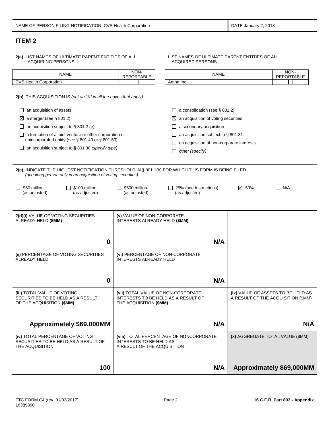|                                | <b>NAME</b>                                                                                                      | NON-                    | <b>NAME</b>                                                                                       | NON-              |
|--------------------------------|------------------------------------------------------------------------------------------------------------------|-------------------------|---------------------------------------------------------------------------------------------------|-------------------|
| <b>CVS Health Corporation</b>  |                                                                                                                  | <b>REPORTABLE</b><br>ΙI | Aetna Inc.                                                                                        | <b>REPORTABLE</b> |
| an acquisition of assets       |                                                                                                                  |                         | a consolidation (see § 801.2)                                                                     |                   |
|                                |                                                                                                                  |                         |                                                                                                   |                   |
| a merger (see $\S$ 801.2)<br>⊠ |                                                                                                                  |                         | an acquisition of voting securities<br>⊠                                                          |                   |
|                                | an acquisition subject to $\S$ 801.2 (e)                                                                         |                         | a secondary acquisition<br>l 1                                                                    |                   |
|                                | a formation of a joint venture or other corporation or<br>unincorporated entity (see $\S$ 801.40 or $\S$ 801.50) |                         | an acquisition subject to $\S$ 801.31                                                             |                   |
|                                |                                                                                                                  |                         | an acquisition of non-corporate interests                                                         |                   |
|                                |                                                                                                                  |                         | other (specify)<br>П                                                                              |                   |
|                                | an acquisition subject to § 801.30 (specify type)                                                                |                         | 2(c) INDICATE THE HIGHEST NOTIFICATION THRESHOLD IN § 801.1(h) FOR WHICH THIS FORM IS BEING FILED |                   |

| 100                                                                                           | N/A                                                                                                 | Approximately \$69,000MM                                                 |
|-----------------------------------------------------------------------------------------------|-----------------------------------------------------------------------------------------------------|--------------------------------------------------------------------------|
| (iv) TOTAL PERCENTAGE OF VOTING<br>SECURITIES TO BE HELD AS A RESULT OF<br>THE ACQUISITION    | (viii) TOTAL PERCENTAGE OF NONCORPORATE<br>INTERESTS TO BE HELD AS<br>A RESULT OF THE ACQUISITION   | (x) AGGREGATE TOTAL VALUE (\$MM)                                         |
| Approximately \$69,000MM                                                                      | N/A                                                                                                 | N/A                                                                      |
| (iii) TOTAL VALUE OF VOTING<br>SECURITIES TO BE HELD AS A RESULT<br>OF THE ACQUISITION (\$MM) | (vii) TOTAL VALUE OF NON-CORPORATE<br>INTERESTS TO BE HELD AS A RESULT OF<br>THE ACQUISITION (\$MM) | (ix) VALUE OF ASSETS TO BE HELD AS<br>A RESULT OF THE ACQUISITION (\$MM) |
| 0                                                                                             | N/A                                                                                                 |                                                                          |
| (ii) PERCENTAGE OF VOTING SECURITIES<br>ALREADY HELD                                          | (vi) PERCENTAGE OF NON-CORPORATE<br><b>INTERESTS ALREADY HELD</b>                                   |                                                                          |
| 0                                                                                             | N/A                                                                                                 |                                                                          |
| 2(d)(i) VALUE OF VOTING SECURITIES<br>ALREADY HELD (\$MM)                                     | (v) VALUE OF NON-CORPORATE<br>INTERESTS ALREADY HELD (\$MM)                                         |                                                                          |

## NAME OF PERSON FILING NOTIFICATION CVS Health Corporation **DATE January 2, 2018**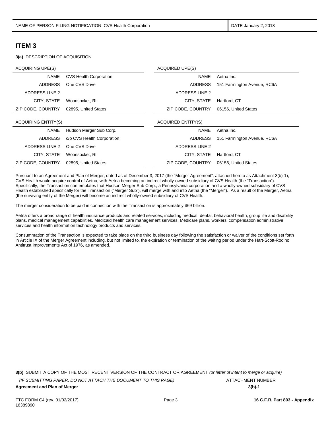# **ITEM 3**

**3(a)** DESCRIPTION OF ACQUISITION

| <b>ACQUIRING UPE(S)</b>    |                               | <b>ACQUIRED UPE(S)</b>    |                             |
|----------------------------|-------------------------------|---------------------------|-----------------------------|
| <b>NAME</b>                | <b>CVS Health Corporation</b> | <b>NAME</b>               | Aetna Inc.                  |
| <b>ADDRESS</b>             | One CVS Drive                 | <b>ADDRESS</b>            | 151 Farmington Avenue, RC6A |
| ADDRESS LINE 2             |                               | ADDRESS LINE 2            |                             |
| CITY, STATE                | Woonsocket, RI                | CITY, STATE               | Hartford, CT                |
| ZIP CODE, COUNTRY          | 02895, United States          | ZIP CODE, COUNTRY         | 06156, United States        |
| <b>ACQUIRING ENTITY(S)</b> |                               | <b>ACQUIRED ENTITY(S)</b> |                             |
|                            |                               |                           |                             |
| <b>NAME</b>                | Hudson Merger Sub Corp.       | <b>NAME</b>               | Aetna Inc.                  |
| <b>ADDRESS</b>             | c/o CVS Health Corporation    | <b>ADDRESS</b>            | 151 Farmington Avenue, RC6A |
| ADDRESS LINE 2             | One CVS Drive                 | <b>ADDRESS LINE 2</b>     |                             |
| CITY, STATE                | Woonsocket, RI                | CITY, STATE               | Hartford, CT                |

Pursuant to an Agreement and Plan of Merger, dated as of December 3, 2017 (the "Merger Agreement", attached hereto as Attachment 3(b)-1), CVS Health would acquire control of Aetna, with Aetna becoming an indirect wholly-owned subsidiary of CVS Health (the "Transaction"). Specifically, the Transaction contemplates that Hudson Merger Sub Corp., a Pennsylvania corporation and a wholly-owned subsidiary of CVS Health established specifically for the Transaction ("Merger Sub"), will merge with and into Aetna (the "Merger"). As a result of the Merger, Aetna (the surviving entity of the Merger) will become an indirect wholly-owned subsidiary of CVS Health.

The merger consideration to be paid in connection with the Transaction is approximately \$69 billion.

Aetna offers a broad range of health insurance products and related services, including medical, dental, behavioral health, group life and disability plans, medical management capabilities, Medicaid health care management services, Medicare plans, workers' compensation administrative services and health information technology products and services.

Consummation of the Transaction is expected to take place on the third business day following the satisfaction or waiver of the conditions set forth in Article IX of the Merger Agreement including, but not limited to, the expiration or termination of the waiting period under the Hart-Scott-Rodino Antitrust Improvements Act of 1976, as amended.

**3(b)** SUBMIT A COPY OF THE MOST RECENT VERSION OF THE CONTRACT OR AGREEMENT *(or letter of intent to merge or acquire)*

*(IF SUBMITTING PAPER, DO NOT ATTACH THE DOCUMENT TO THIS PAGE)* ATTACHMENT NUMBER **Agreement and Plan of Merger 3(b)-1**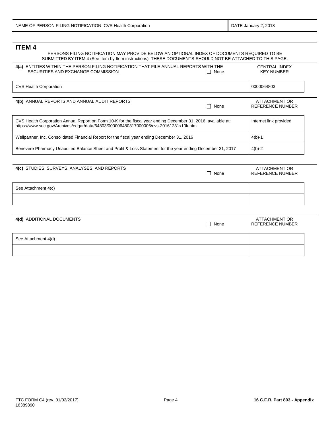## **ITEM 4**

PERSONS FILING NOTIFICATION MAY PROVIDE BELOW AN OPTIONAL INDEX OF DOCUMENTS REQUIRED TO BE SUBMITTED BY ITEM 4 (See Item by Item instructions). THESE DOCUMENTS SHOULD NOT BE ATTACHED TO THIS PAGE.

| 4(a) ENTITIES WITHIN THE PERSON FILING NOTIFICATION THAT FILE ANNUAL REPORTS WITH THE<br>SECURITIES AND EXCHANGE COMMISSION                                                                            | None<br>$\blacksquare$ | <b>CENTRAL INDEX</b><br><b>KEY NUMBER</b> |
|--------------------------------------------------------------------------------------------------------------------------------------------------------------------------------------------------------|------------------------|-------------------------------------------|
| <b>CVS Health Corporation</b>                                                                                                                                                                          |                        | 0000064803                                |
| 4(b) ANNUAL REPORTS AND ANNUAL AUDIT REPORTS                                                                                                                                                           | None                   | ATTACHMENT OR<br><b>REFERENCE NUMBER</b>  |
| CVS Health Corporation Annual Report on Form 10-K for the fiscal year ending December 31, 2016, available at:<br>https://www.sec.gov/Archives/edgar/data/64803/000006480317000006/cvs-20161231x10k.htm |                        | Internet link provided                    |
| Wellpartner, Inc. Consolidated Financial Report for the fiscal year ending December 31, 2016                                                                                                           |                        | $4(b)-1$                                  |
| Benevere Pharmacy Unaudited Balance Sheet and Profit & Loss Statement for the year ending December 31, 2017                                                                                            |                        | $4(b)-2$                                  |
|                                                                                                                                                                                                        |                        |                                           |

**4(c)** STUDIES, SURVEYS, ANALYSES, AND REPORTS

□ None

#### ATTACHMENT OR REFERENCE NUMBER

See Attachment 4(c)

| 4(d) ADDITIONAL DOCUMENTS | $\Box$ None | ATTACHMENT OR<br><b>REFERENCE NUMBER</b> |
|---------------------------|-------------|------------------------------------------|
| See Attachment 4(d)       |             |                                          |
|                           |             |                                          |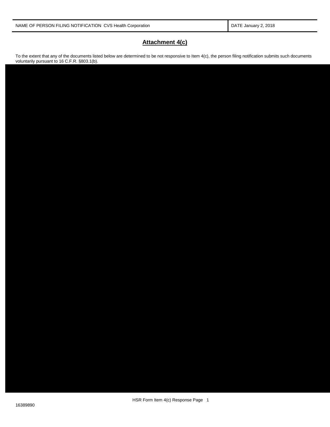# **Attachment 4(c)**

To the extent that any of the documents listed below are determined to be not responsive to Item 4(c), the person filing notification submits such documents voluntarily pursuant to 16 C.F.R. §803.1(b).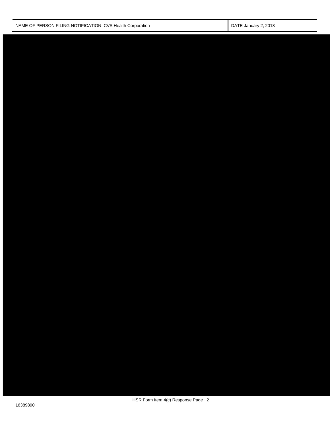| NAME OF PERSON FILING NOTIFICATION CVS Health Corporation |  |  |
|-----------------------------------------------------------|--|--|
|                                                           |  |  |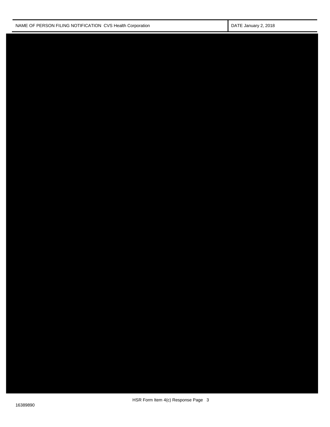| NAME OF PERSON FILING NOTIFICATION CVS Health Corporation |  |
|-----------------------------------------------------------|--|
|                                                           |  |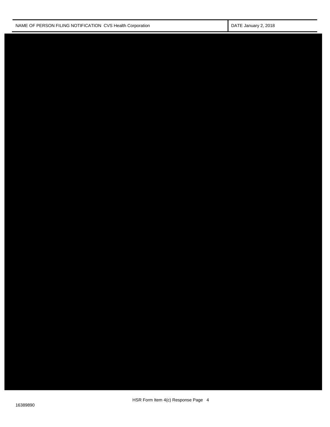| NAME OF PERSON FILING NOTIFICATION CVS Health Corporation |  |
|-----------------------------------------------------------|--|
|                                                           |  |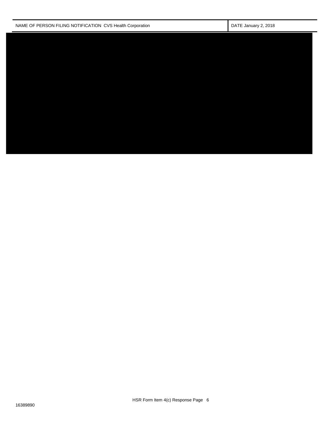| NAME OF PERSON FILING NOTIFICATION CVS Health Corporation | DATE January 2, 2018 |
|-----------------------------------------------------------|----------------------|
|                                                           |                      |
|                                                           |                      |
|                                                           |                      |
|                                                           |                      |
|                                                           |                      |
|                                                           |                      |
|                                                           |                      |
|                                                           |                      |
|                                                           |                      |
|                                                           |                      |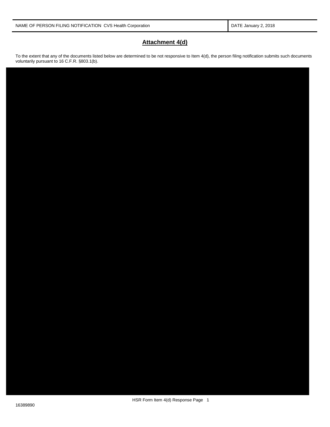# **Attachment 4(d)**

To the extent that any of the documents listed below are determined to be not responsive to Item 4(d), the person filing notification submits such documents voluntarily pursuant to 16 C.F.R. §803.1(b).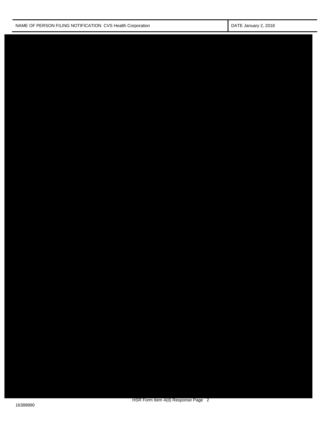| NAME OF PERSON FILING NOTIFICATION CVS Health Corporation |  |
|-----------------------------------------------------------|--|
|                                                           |  |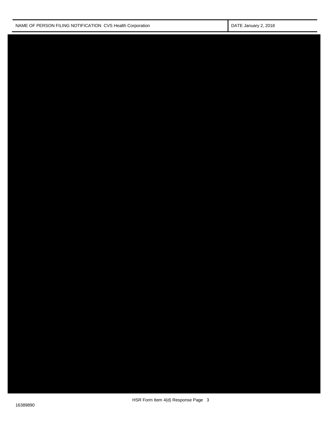| NAME OF PERSON FILING NOTIFICATION CVS Health Corporation |  |
|-----------------------------------------------------------|--|
|                                                           |  |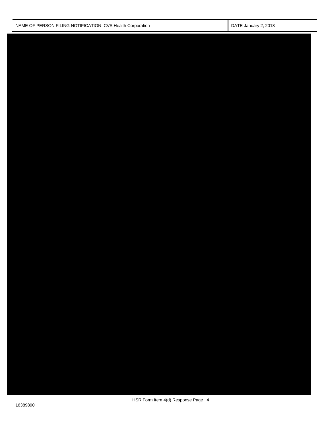|  | NAME OF PERSON FILING NOTIFICATION CVS Health Corporation |  |
|--|-----------------------------------------------------------|--|
|  |                                                           |  |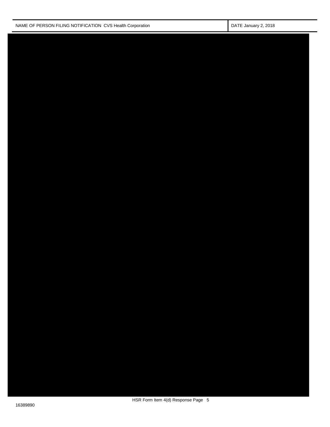16389890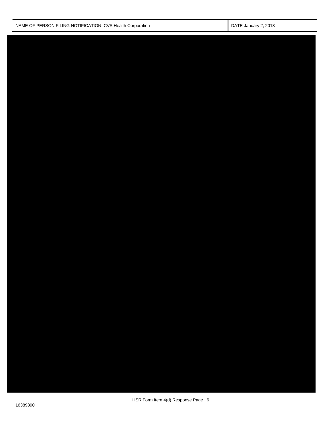|  | NAME OF PERSON FILING NOTIFICATION CVS Health Corporation |  |
|--|-----------------------------------------------------------|--|
|  |                                                           |  |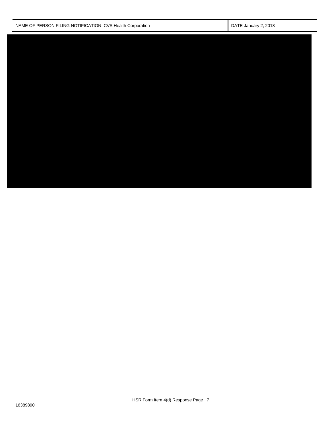| NAME OF PERSON FILING NOTIFICATION CVS Health Corporation | DATE Ja |
|-----------------------------------------------------------|---------|
|                                                           |         |

nuary 2, 2018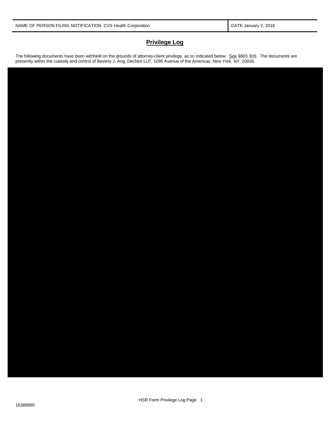# **Privilege Log**

The following documents have been withheld on the grounds of attorney-client privilege, as so indicated below. See §803.3(d). The documents are presently within the custody and control of Beverly J. Ang, Dechert LLP, 1095 Avenue of the Americas, New York, NY 10036.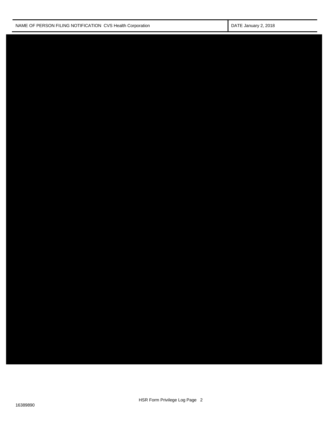| NAME OF PERSON FILING NOTIFICATION CVS Health Corporation |  |
|-----------------------------------------------------------|--|
|                                                           |  |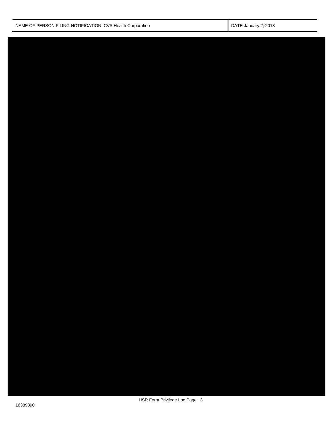| NAME OF PERSON FILING NOTIFICATION CVS Health Corporation |  |
|-----------------------------------------------------------|--|
|                                                           |  |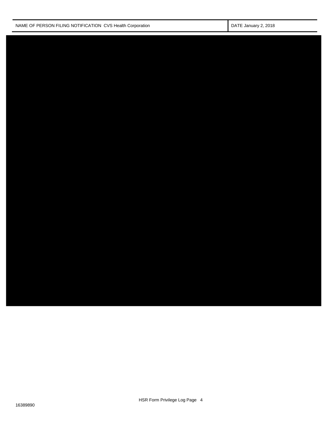| NAME OF PERSON FILING NOTIFICATION CVS Health Corporation | DATE January 2, 2018 |
|-----------------------------------------------------------|----------------------|
|                                                           |                      |
|                                                           |                      |
|                                                           |                      |
|                                                           |                      |
|                                                           |                      |
|                                                           |                      |
|                                                           |                      |
|                                                           |                      |
|                                                           |                      |
|                                                           |                      |
|                                                           |                      |
|                                                           |                      |
|                                                           |                      |
|                                                           |                      |
|                                                           |                      |
|                                                           |                      |
|                                                           |                      |
|                                                           |                      |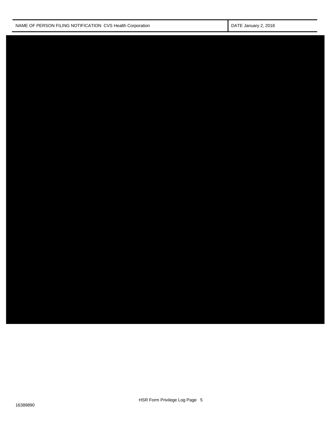| NAME OF PERSON FILING NOTIFICATION CVS Health Corporation |  |
|-----------------------------------------------------------|--|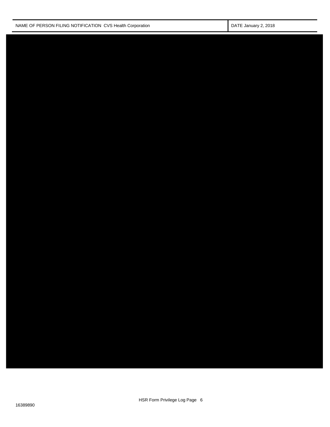| NAME OF PERSON FILING NOTIFICATION CVS Health Corporation |  |
|-----------------------------------------------------------|--|
|                                                           |  |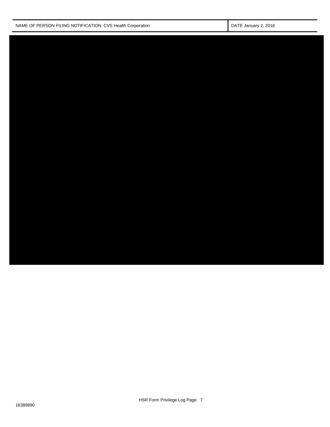| NAME OF PERSON FILING NOTIFICATION CVS Health Corporation | DATE January 2, 2018 |
|-----------------------------------------------------------|----------------------|
|                                                           |                      |
|                                                           |                      |
|                                                           |                      |
|                                                           |                      |
|                                                           |                      |
|                                                           |                      |
|                                                           |                      |
|                                                           |                      |
|                                                           |                      |
|                                                           |                      |
|                                                           |                      |
|                                                           |                      |
|                                                           |                      |
|                                                           |                      |
|                                                           |                      |
|                                                           |                      |
|                                                           |                      |
|                                                           |                      |
|                                                           |                      |
|                                                           |                      |
|                                                           |                      |
|                                                           |                      |

 $\overline{\phantom{0}}$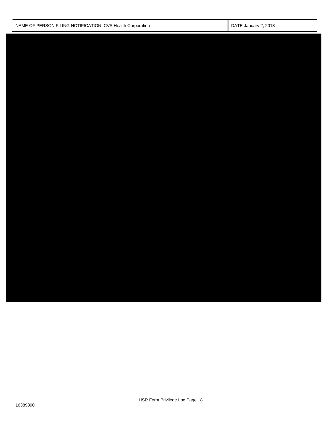| NAME OF PERSON FILING NOTIFICATION CVS Health Corporation | DATE January 2, 2018 |
|-----------------------------------------------------------|----------------------|
|                                                           |                      |
|                                                           |                      |
|                                                           |                      |
|                                                           |                      |
|                                                           |                      |
|                                                           |                      |
|                                                           |                      |
|                                                           |                      |
|                                                           |                      |
|                                                           |                      |
|                                                           |                      |
|                                                           |                      |
|                                                           |                      |
|                                                           |                      |
|                                                           |                      |
|                                                           |                      |
|                                                           |                      |
|                                                           |                      |
|                                                           |                      |
|                                                           |                      |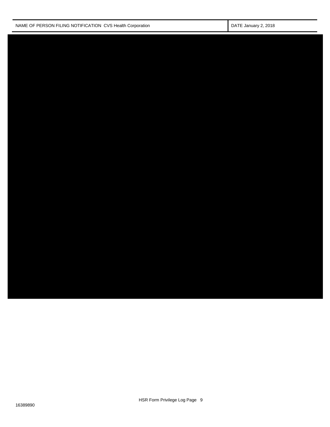| NAME OF PERSON FILING NOTIFICATION CVS Health Corporation |  |
|-----------------------------------------------------------|--|
|                                                           |  |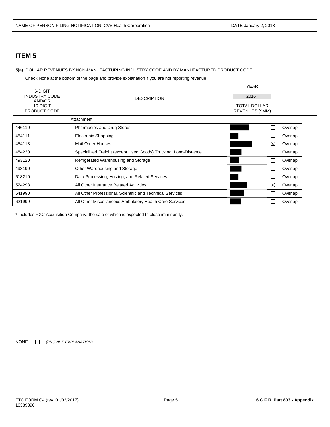# **ITEM 5**

## **5(a)** DOLLAR REVENUES BY NON-MANUFACTURING INDUSTRY CODE AND BY MANUFACTURED PRODUCT CODE

Check None at the bottom of the page and provide explanation if you are not reporting revenue

| 6-DIGIT<br><b>INDUSTRY CODE</b><br>AND/OR<br>10-DIGIT | <b>DESCRIPTION</b> | YEAR<br>2016<br><b>TOTAL DOLLAR</b> |
|-------------------------------------------------------|--------------------|-------------------------------------|
| PRODUCT CODE                                          |                    | REVENUES (\$MM)                     |
|                                                       | Attachment:        |                                     |

| 446110 | <b>Pharmacies and Drug Stores</b>                               |   | Overlap |
|--------|-----------------------------------------------------------------|---|---------|
| 454111 | <b>Electronic Shopping</b>                                      |   | Overlap |
| 454113 | Mail-Order Houses                                               | ⊠ | Overlap |
| 484230 | Specialized Freight (except Used Goods) Trucking, Long-Distance |   | Overlap |
| 493120 | Refrigerated Warehousing and Storage                            |   | Overlap |
| 493190 | Other Warehousing and Storage                                   |   | Overlap |
| 518210 | Data Processing, Hosting, and Related Services                  |   | Overlap |
| 524298 | All Other Insurance Related Activities                          | ⊠ | Overlap |
| 541990 | All Other Professional, Scientific and Technical Services       |   | Overlap |
| 621999 | All Other Miscellaneous Ambulatory Health Care Services         |   | Overlap |

\* Includes RXC Acquisition Company, the sale of which is expected to close imminently.

NONE *(PROVIDE EXPLANATION)*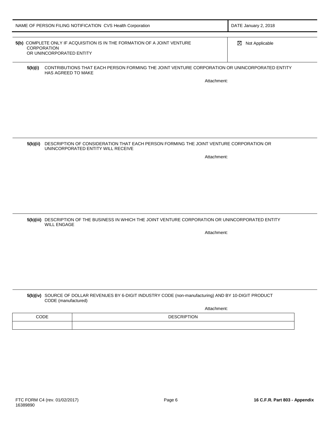| NAME OF PERSON FILING NOTIFICATION CVS Health Corporation |                                                                                                                            | DATE January 2, 2018 |  |
|-----------------------------------------------------------|----------------------------------------------------------------------------------------------------------------------------|----------------------|--|
| 5(b)                                                      | COMPLETE ONLY IF ACQUISITION IS IN THE FORMATION OF A JOINT VENTURE<br><b>CORPORATION</b><br>OR UNINCORPORATED ENTITY      | ⊠<br>Not Applicable  |  |
| 5(b)(i)                                                   | CONTRIBUTIONS THAT EACH PERSON FORMING THE JOINT VENTURE CORPORATION OR UNINCORPORATED ENTITY<br><b>HAS AGREED TO MAKE</b> |                      |  |
| Attachment:                                               |                                                                                                                            |                      |  |
|                                                           |                                                                                                                            |                      |  |
|                                                           |                                                                                                                            |                      |  |

#### **5(b)(ii)** DESCRIPTION OF CONSIDERATION THAT EACH PERSON FORMING THE JOINT VENTURE CORPORATION OR UNINCORPORATED ENTITY WILL RECEIVE

Attachment:

**5(b)(iii)** DESCRIPTION OF THE BUSINESS IN WHICH THE JOINT VENTURE CORPORATION OR UNINCORPORATED ENTITY WILL ENGAGE

Attachment:

#### **5(b)(iv)** SOURCE OF DOLLAR REVENUES BY 6-DIGIT INDUSTRY CODE (non-manufacturing) AND BY 10-DIGIT PRODUCT CODE (manufactured)

Attachment:

| ,,, |
|-----|
|     |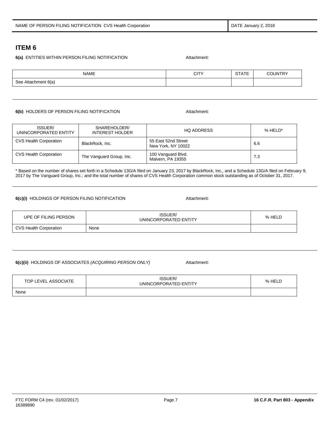**ITEM 6**

| <b>NAME</b>            | C(T) | $\sim$ $\sim$ $\sim$ $\sim$ |  |
|------------------------|------|-----------------------------|--|
|                        | ᄓᄓ   |                             |  |
| Attachment 6(a)<br>See |      |                             |  |

#### **6(b)** HOLDERS OF PERSON FILING NOTIFICATION **Attachment:**

| ISSUER/<br>UNINCORPORATED ENTITY | SHAREHOLDER/<br><b>INTEREST HOLDER</b> | <b>HQ ADDRESS</b>                         | % HELD* |
|----------------------------------|----------------------------------------|-------------------------------------------|---------|
| CVS Health Corporation           | BlackRock, Inc.                        | 55 East 52nd Street<br>New York, NY 10022 | 6.6     |
| CVS Health Corporation           | The Vanguard Group, Inc.               | 100 Vanguard Blvd.<br>Malvern, PA 19355   | 7.3     |

\* Based on the number of shares set forth in a Schedule 13G/A filed on January 23, 2017 by BlackRock, Inc., and a Schedule 13G/A filed on February 9, 2017 by The Vanguard Group, Inc.; and the total number of shares of CVS Health Corporation common stock outstanding as of October 31, 2017.

#### **6(c)(i)** HOLDINGS OF PERSON FILING NOTIFICATION **Attachment:**

| UPE OF FILING PERSON   | <b>ISSUER/</b><br>UNINCORPORATED ENTITY | % HELD |
|------------------------|-----------------------------------------|--------|
| CVS Health Corporation | None                                    |        |

## **6(c)(ii)** HOLDINGS OF ASSOCIATES *(ACQUIRING PERSON ONLY)* Attachment:

| TOP LEVEL ASSOCIATE | <b>ISSUER/</b><br>UNINCORPORATED ENTITY | % HELD |
|---------------------|-----------------------------------------|--------|
| None                |                                         |        |

**6(a)** ENTITIES WITHIN PERSON FILING NOTIFICATION **Attachment:** 

NAME OF PERSON FILING NOTIFICATION CVS Health Corporation **DATE January 2, 2018**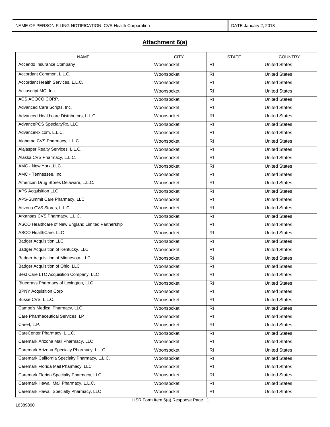# **Attachment 6(a)**

| <b>NAME</b>                                        | <b>CITY</b> | <b>STATE</b>   | <b>COUNTRY</b>       |
|----------------------------------------------------|-------------|----------------|----------------------|
| Accendo Insurance Company                          | Woonsocket  | <b>RI</b>      | <b>United States</b> |
| Accordant Common, L.L.C.                           | Woonsocket  | R <sub>l</sub> | <b>United States</b> |
| Accordant Health Services, L.L.C.                  | Woonsocket  | $\overline{R}$ | <b>United States</b> |
| Accuscript MO, Inc.                                | Woonsocket  | R <sub>l</sub> | <b>United States</b> |
| ACS ACQCO CORP.                                    | Woonsocket  | R <sub>l</sub> | <b>United States</b> |
| Advanced Care Scripts, Inc.                        | Woonsocket  | $\overline{R}$ | <b>United States</b> |
| Advanced Healthcare Distributors, L.L.C.           | Woonsocket  | R <sub>l</sub> | <b>United States</b> |
| AdvancePCS SpecialtyRx, LLC                        | Woonsocket  | R <sub>l</sub> | <b>United States</b> |
| AdvanceRx.com, L.L.C.                              | Woonsocket  | R <sub>l</sub> | <b>United States</b> |
| Alabama CVS Pharmacy, L.L.C.                       | Woonsocket  | R <sub>1</sub> | <b>United States</b> |
| Alajasper Realty Services, L.L.C.                  | Woonsocket  | R <sub>l</sub> | <b>United States</b> |
| Alaska CVS Pharmacy, L.L.C.                        | Woonsocket  | R <sub>l</sub> | <b>United States</b> |
| AMC - New York, LLC                                | Woonsocket  | $\overline{R}$ | <b>United States</b> |
| AMC - Tennessee, Inc.                              | Woonsocket  | R <sub>l</sub> | <b>United States</b> |
| American Drug Stores Delaware, L.L.C.              | Woonsocket  | $\overline{R}$ | <b>United States</b> |
| <b>APS Acquisition LLC</b>                         | Woonsocket  | R <sub>l</sub> | <b>United States</b> |
| APS-Summit Care Pharmacy, LLC                      | Woonsocket  | R <sub>l</sub> | <b>United States</b> |
| Arizona CVS Stores, L.L.C.                         | Woonsocket  | R <sub>l</sub> | <b>United States</b> |
| Arkansas CVS Pharmacy, L.L.C.                      | Woonsocket  | R <sub>l</sub> | <b>United States</b> |
| ASCO Healthcare of New England Limited Partnership | Woonsocket  | R <sub>l</sub> | <b>United States</b> |
| ASCO HealthCare, LLC                               | Woonsocket  | R <sub>l</sub> | <b>United States</b> |
| <b>Badger Acquisition LLC</b>                      | Woonsocket  | R <sub>l</sub> | <b>United States</b> |
| Badger Acquisition of Kentucky, LLC                | Woonsocket  | R <sub>l</sub> | <b>United States</b> |
| Badger Acquisition of Minnesota, LLC               | Woonsocket  | R <sub>l</sub> | <b>United States</b> |
| Badger Acquisition of Ohio, LLC                    | Woonsocket  | R <sub>l</sub> | <b>United States</b> |
| Best Care LTC Acquisition Company, LLC             | Woonsocket  | R <sub>l</sub> | <b>United States</b> |
| Bluegrass Pharmacy of Lexington, LLC               | Woonsocket  | $\overline{R}$ | <b>United States</b> |
| <b>BPNY Acquisition Corp</b>                       | Woonsocket  | R <sub>l</sub> | <b>United States</b> |
| Busse CVS, L.L.C.                                  | Woonsocket  | R <sub>l</sub> | <b>United States</b> |
| Campo's Medical Pharmacy, LLC                      | Woonsocket  | R <sub>l</sub> | <b>United States</b> |
| Care Pharmaceutical Services, LP                   | Woonsocket  | RI             | <b>United States</b> |
| Care4, L.P.                                        | Woonsocket  | R <sub>l</sub> | <b>United States</b> |
| CareCenter Pharmacy, L.L.C.                        | Woonsocket  | <b>RI</b>      | <b>United States</b> |
| Caremark Arizona Mail Pharmacy, LLC                | Woonsocket  | R <sub>l</sub> | <b>United States</b> |
| Caremark Arizona Specialty Pharmacy, L.L.C.        | Woonsocket  | R <sub>l</sub> | <b>United States</b> |
| Caremark California Specialty Pharmacy, L.L.C.     | Woonsocket  | R <sub>l</sub> | <b>United States</b> |
| Caremark Florida Mail Pharmacy, LLC                | Woonsocket  | R <sub>l</sub> | <b>United States</b> |
| Caremark Florida Specialty Pharmacy, LLC           | Woonsocket  | R <sub>l</sub> | <b>United States</b> |
| Caremark Hawaii Mail Pharmacy, L.L.C.              | Woonsocket  | R <sub>l</sub> | <b>United States</b> |
| Caremark Hawaii Specialty Pharmacy, LLC            | Woonsocket  | <b>RI</b>      | <b>United States</b> |

HSR Form Item 6(a) Response Page 1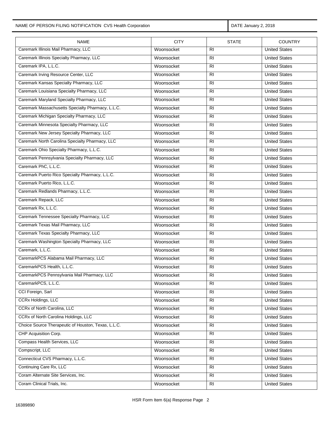| <b>NAME</b>                                         | <b>CITY</b> | <b>STATE</b>   | <b>COUNTRY</b>       |
|-----------------------------------------------------|-------------|----------------|----------------------|
| Caremark Illinois Mail Pharmacy, LLC                | Woonsocket  | R <sub>l</sub> | <b>United States</b> |
| Caremark Illinois Specialty Pharmacy, LLC           | Woonsocket  | $\overline{R}$ | <b>United States</b> |
| Caremark IPA, L.L.C.                                | Woonsocket  | R <sub>l</sub> | <b>United States</b> |
| Caremark Irving Resource Center, LLC                | Woonsocket  | R <sub>l</sub> | <b>United States</b> |
| Caremark Kansas Specialty Pharmacy, LLC             | Woonsocket  | R <sub>l</sub> | <b>United States</b> |
| Caremark Louisiana Specialty Pharmacy, LLC          | Woonsocket  | R <sub>l</sub> | <b>United States</b> |
| Caremark Maryland Specialty Pharmacy, LLC           | Woonsocket  | $\overline{R}$ | <b>United States</b> |
| Caremark Massachusetts Specialty Pharmacy, L.L.C.   | Woonsocket  | R <sub>l</sub> | <b>United States</b> |
| Caremark Michigan Specialty Pharmacy, LLC           | Woonsocket  | R <sub>l</sub> | <b>United States</b> |
| Caremark Minnesota Specialty Pharmacy, LLC          | Woonsocket  | RI             | <b>United States</b> |
| Caremark New Jersey Specialty Pharmacy, LLC         | Woonsocket  | R <sub>l</sub> | <b>United States</b> |
| Caremark North Carolina Specialty Pharmacy, LLC     | Woonsocket  | R <sub>l</sub> | <b>United States</b> |
| Caremark Ohio Specialty Pharmacy, L.L.C.            | Woonsocket  | R <sub>l</sub> | <b>United States</b> |
| Caremark Pennsylvania Specialty Pharmacy, LLC       | Woonsocket  | R <sub>l</sub> | <b>United States</b> |
| Caremark PhC, L.L.C.                                | Woonsocket  | $\overline{R}$ | <b>United States</b> |
| Caremark Puerto Rico Specialty Pharmacy, L.L.C.     | Woonsocket  | RI             | <b>United States</b> |
| Caremark Puerto Rico, L.L.C.                        | Woonsocket  | R <sub>l</sub> | <b>United States</b> |
| Caremark Redlands Pharmacy, L.L.C.                  | Woonsocket  | R <sub>l</sub> | <b>United States</b> |
| Caremark Repack, LLC                                | Woonsocket  | $\overline{R}$ | <b>United States</b> |
| Caremark Rx, L.L.C.                                 | Woonsocket  | R <sub>l</sub> | <b>United States</b> |
| Caremark Tennessee Specialty Pharmacy, LLC          | Woonsocket  | R <sub>l</sub> | <b>United States</b> |
| Caremark Texas Mail Pharmacy, LLC                   | Woonsocket  | $\overline{R}$ | <b>United States</b> |
| Caremark Texas Specialty Pharmacy, LLC              | Woonsocket  | R <sub>l</sub> | <b>United States</b> |
| Caremark Washington Specialty Pharmacy, LLC         | Woonsocket  | $\overline{R}$ | <b>United States</b> |
| Caremark, L.L.C.                                    | Woonsocket  | $\overline{R}$ | <b>United States</b> |
| CaremarkPCS Alabama Mail Pharmacy, LLC              | Woonsocket  | R <sub>l</sub> | <b>United States</b> |
| CaremarkPCS Health, L.L.C.                          | Woonsocket  | R <sub>l</sub> | <b>United States</b> |
| CaremarkPCS Pennsylvania Mail Pharmacy, LLC         | Woonsocket  | R <sub>l</sub> | <b>United States</b> |
| CaremarkPCS, L.L.C.                                 | Woonsocket  | R <sub>l</sub> | <b>United States</b> |
| CCI Foreign, Sarl                                   | Woonsocket  | RI             | <b>United States</b> |
| <b>CCRx Holdings, LLC</b>                           | Woonsocket  | $\overline{R}$ | <b>United States</b> |
| CCRx of North Carolina, LLC                         | Woonsocket  | R <sub>l</sub> | <b>United States</b> |
| CCRx of North Carolina Holdings, LLC                | Woonsocket  | R <sub>l</sub> | <b>United States</b> |
| Choice Source Therapeutic of Houston, Texas, L.L.C. | Woonsocket  | R <sub>l</sub> | <b>United States</b> |
| CHP Acquisition Corp.                               | Woonsocket  | R <sub>l</sub> | <b>United States</b> |
| Compass Health Services, LLC                        | Woonsocket  | R <sub>l</sub> | <b>United States</b> |
| Compscript, LLC                                     | Woonsocket  | R <sub>l</sub> | <b>United States</b> |
| Connecticut CVS Pharmacy, L.L.C.                    | Woonsocket  | R <sub>l</sub> | <b>United States</b> |
| Continuing Care Rx, LLC                             | Woonsocket  | R <sub>l</sub> | <b>United States</b> |
| Coram Alternate Site Services, Inc.                 | Woonsocket  | R <sub>l</sub> | <b>United States</b> |
| Coram Clinical Trials, Inc.                         | Woonsocket  | R <sub>l</sub> | <b>United States</b> |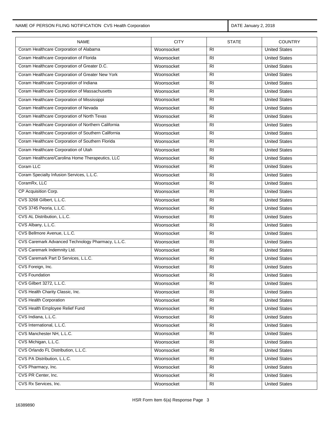| <b>NAME</b>                                         | <b>CITY</b> | <b>STATE</b>   | <b>COUNTRY</b>       |
|-----------------------------------------------------|-------------|----------------|----------------------|
| Coram Healthcare Corporation of Alabama             | Woonsocket  | R <sub>l</sub> | <b>United States</b> |
| Coram Healthcare Corporation of Florida             | Woonsocket  | $\overline{R}$ | <b>United States</b> |
| Coram Healthcare Corporation of Greater D.C.        | Woonsocket  | $\overline{R}$ | <b>United States</b> |
| Coram Healthcare Corporation of Greater New York    | Woonsocket  | R <sub>l</sub> | <b>United States</b> |
| Coram Healthcare Corporation of Indiana             | Woonsocket  | R <sub>l</sub> | <b>United States</b> |
| Coram Healthcare Corporation of Massachusetts       | Woonsocket  | R <sub>l</sub> | <b>United States</b> |
| Coram Healthcare Corporation of Mississippi         | Woonsocket  | $\overline{R}$ | <b>United States</b> |
| Coram Healthcare Corporation of Nevada              | Woonsocket  | $\overline{R}$ | <b>United States</b> |
| Coram Healthcare Corporation of North Texas         | Woonsocket  | $\overline{R}$ | <b>United States</b> |
| Coram Healthcare Corporation of Northern California | Woonsocket  | R <sub>l</sub> | <b>United States</b> |
| Coram Healthcare Corporation of Southern California | Woonsocket  | R <sub>l</sub> | <b>United States</b> |
| Coram Healthcare Corporation of Southern Florida    | Woonsocket  | R <sub>l</sub> | <b>United States</b> |
| Coram Healthcare Corporation of Utah                | Woonsocket  | R <sub>l</sub> | <b>United States</b> |
| Coram Healthcare/Carolina Home Therapeutics, LLC    | Woonsocket  | $\overline{R}$ | <b>United States</b> |
| Coram LLC                                           | Woonsocket  | $\overline{R}$ | <b>United States</b> |
| Coram Specialty Infusion Services, L.L.C.           | Woonsocket  | R <sub>l</sub> | <b>United States</b> |
| CoramRx, LLC                                        | Woonsocket  | R <sub>l</sub> | <b>United States</b> |
| CP Acquisition Corp.                                | Woonsocket  | R <sub>l</sub> | <b>United States</b> |
| CVS 3268 Gilbert, L.L.C.                            | Woonsocket  | $\overline{R}$ | <b>United States</b> |
| CVS 3745 Peoria, L.L.C.                             | Woonsocket  | R <sub>l</sub> | <b>United States</b> |
| CVS AL Distribution, L.L.C.                         | Woonsocket  | R <sub>l</sub> | <b>United States</b> |
| CVS Albany, L.L.C.                                  | Woonsocket  | RI             | <b>United States</b> |
| CVS Bellmore Avenue, L.L.C.                         | Woonsocket  | R <sub>l</sub> | <b>United States</b> |
| CVS Caremark Advanced Technology Pharmacy, L.L.C.   | Woonsocket  | $\overline{R}$ | <b>United States</b> |
| CVS Caremark Indemnity Ltd.                         | Woonsocket  | RI             | <b>United States</b> |
| CVS Caremark Part D Services, L.L.C.                | Woonsocket  | $\overline{R}$ | <b>United States</b> |
| CVS Foreign, Inc.                                   | Woonsocket  | R <sub>l</sub> | <b>United States</b> |
| <b>CVS Foundation</b>                               | Woonsocket  | R <sub>l</sub> | <b>United States</b> |
| CVS Gilbert 3272, L.L.C.                            | Woonsocket  | R <sub>l</sub> | <b>United States</b> |
| CVS Health Charity Classic, Inc.                    | Woonsocket  | R <sub>l</sub> | <b>United States</b> |
| <b>CVS Health Corporation</b>                       | Woonsocket  | RI             | <b>United States</b> |
| CVS Health Employee Relief Fund                     | Woonsocket  | R <sub>l</sub> | <b>United States</b> |
| CVS Indiana, L.L.C.                                 | Woonsocket  | R <sub>l</sub> | <b>United States</b> |
| CVS International, L.L.C.                           | Woonsocket  | R <sub>l</sub> | <b>United States</b> |
| CVS Manchester NH, L.L.C.                           | Woonsocket  | R <sub>l</sub> | <b>United States</b> |
| CVS Michigan, L.L.C.                                | Woonsocket  | R <sub>l</sub> | <b>United States</b> |
| CVS Orlando FL Distribution, L.L.C.                 | Woonsocket  | R <sub>l</sub> | <b>United States</b> |
| CVS PA Distribution, L.L.C.                         | Woonsocket  | R <sub>l</sub> | <b>United States</b> |
| CVS Pharmacy, Inc.                                  | Woonsocket  | R <sub>l</sub> | <b>United States</b> |
| CVS PR Center, Inc.                                 | Woonsocket  | R <sub>l</sub> | <b>United States</b> |
| CVS Rx Services, Inc.                               | Woonsocket  | R <sub>l</sub> | <b>United States</b> |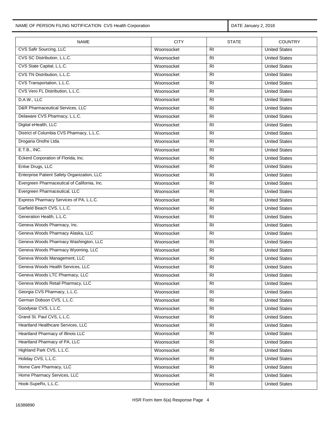| NAME OF PERSON FILING NOTIFICATION CVS Health Corporatio |  |
|----------------------------------------------------------|--|
|----------------------------------------------------------|--|

NAME OF PERSON FILING NOTIFICATION FILING NOTIFICATION CONTINUES AND ALL ORDER OF PERSON DATE JANUARY 2, 2018

| <b>NAME</b>                                  | <b>CITY</b> | <b>STATE</b>   | <b>COUNTRY</b>       |  |
|----------------------------------------------|-------------|----------------|----------------------|--|
| <b>CVS Safir Sourcing, LLC</b>               | Woonsocket  | R <sub>1</sub> | <b>United States</b> |  |
| CVS SC Distribution, L.L.C.                  | Woonsocket  | R <sub>l</sub> | <b>United States</b> |  |
| CVS State Capital, L.L.C.                    | Woonsocket  | R <sub>l</sub> | <b>United States</b> |  |
| CVS TN Distribution, L.L.C.                  | Woonsocket  | $\overline{R}$ | <b>United States</b> |  |
| CVS Transportation, L.L.C.                   | Woonsocket  | R <sub>l</sub> | <b>United States</b> |  |
| CVS Vero FL Distribution, L.L.C.             | Woonsocket  | R <sub>l</sub> | <b>United States</b> |  |
| D.A.W., LLC                                  | Woonsocket  | $\overline{R}$ | <b>United States</b> |  |
| D&R Pharmaceutical Services, LLC             | Woonsocket  | $\overline{R}$ | <b>United States</b> |  |
| Delaware CVS Pharmacy, L.L.C.                | Woonsocket  | $\overline{R}$ | <b>United States</b> |  |
| Digital eHealth, LLC                         | Woonsocket  | $\overline{R}$ | <b>United States</b> |  |
| District of Columbia CVS Pharmacy, L.L.C.    | Woonsocket  | $\overline{R}$ | <b>United States</b> |  |
| Drogaria Onofre Ltda.                        | Woonsocket  | R <sub>l</sub> | <b>United States</b> |  |
| E.T.B., INC.                                 | Woonsocket  | $\overline{R}$ | <b>United States</b> |  |
| Eckerd Corporation of Florida, Inc.          | Woonsocket  | $\overline{R}$ | <b>United States</b> |  |
| Enloe Drugs, LLC                             | Woonsocket  | R <sub>l</sub> | <b>United States</b> |  |
| Enterprise Patient Safety Organization, LLC  | Woonsocket  | $\overline{R}$ | <b>United States</b> |  |
| Evergreen Pharmaceutical of California, Inc. | Woonsocket  | $\overline{R}$ | <b>United States</b> |  |
| Evergreen Pharmaceutical, LLC                | Woonsocket  | R <sub>l</sub> | <b>United States</b> |  |
| Express Pharmacy Services of PA, L.L.C.      | Woonsocket  | RI             | <b>United States</b> |  |
| Garfield Beach CVS, L.L.C.                   | Woonsocket  | $\overline{R}$ | <b>United States</b> |  |
| Generation Health, L.L.C.                    | Woonsocket  | R <sub>l</sub> | <b>United States</b> |  |
| Geneva Woods Pharmacy, Inc.                  | Woonsocket  | RI             | <b>United States</b> |  |
| Geneva Woods Pharmacy Alaska, LLC            | Woonsocket  | R <sub>l</sub> | <b>United States</b> |  |
| Geneva Woods Pharmacy Washington, LLC        | Woonsocket  | $\overline{R}$ | <b>United States</b> |  |
| Geneva Woods Pharmacy Wyoming, LLC           | Woonsocket  | $\overline{R}$ | <b>United States</b> |  |
| Geneva Woods Management, LLC                 | Woonsocket  | RI             | <b>United States</b> |  |
| Geneva Woods Health Services, LLC            | Woonsocket  | $\overline{R}$ | <b>United States</b> |  |
| Geneva Woods LTC Pharmacy, LLC               | Woonsocket  | RI             | <b>United States</b> |  |
| Geneva Woods Retail Pharmacy, LLC            | Woonsocket  | R <sub>l</sub> | <b>United States</b> |  |
| Georgia CVS Pharmacy, L.L.C.                 | Woonsocket  | $\overline{R}$ | <b>United States</b> |  |
| German Dobson CVS, L.L.C.                    | Woonsocket  | <b>RI</b>      | <b>United States</b> |  |
| Goodyear CVS, L.L.C.                         | Woonsocket  | R <sub>l</sub> | <b>United States</b> |  |
| Grand St. Paul CVS, L.L.C.                   | Woonsocket  | <b>RI</b>      | <b>United States</b> |  |
| Heartland Healthcare Services, LLC           | Woonsocket  | <b>RI</b>      | <b>United States</b> |  |
| <b>Heartland Pharmacy of Illinois LLC</b>    | Woonsocket  | R <sub>l</sub> | <b>United States</b> |  |
| Heartland Pharmacy of PA, LLC                | Woonsocket  | R <sub>l</sub> | <b>United States</b> |  |
| Highland Park CVS, L.L.C.                    | Woonsocket  | R <sub>l</sub> | <b>United States</b> |  |
| Holiday CVS, L.L.C.                          | Woonsocket  | R <sub>l</sub> | <b>United States</b> |  |
| Home Care Pharmacy, LLC                      | Woonsocket  | R <sub>l</sub> | <b>United States</b> |  |
| Home Pharmacy Services, LLC                  | Woonsocket  | R <sub>l</sub> | <b>United States</b> |  |
| Hook-SupeRx, L.L.C.                          | Woonsocket  | R <sub>l</sub> | <b>United States</b> |  |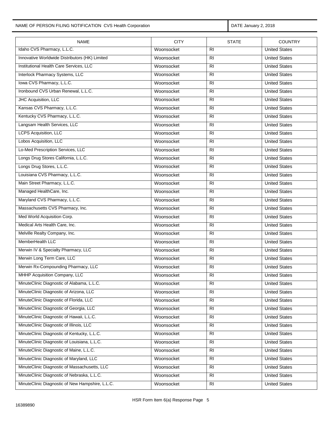| <b>NAME</b>                                      | <b>CITY</b> | <b>STATE</b>   | <b>COUNTRY</b>       |
|--------------------------------------------------|-------------|----------------|----------------------|
| Idaho CVS Pharmacy, L.L.C.                       | Woonsocket  | R <sub>l</sub> | <b>United States</b> |
| Innovative Worldwide Distributors (HK) Limited   | Woonsocket  | $\overline{R}$ | <b>United States</b> |
| Institutional Health Care Services, LLC          | Woonsocket  | $\overline{R}$ | <b>United States</b> |
| Interlock Pharmacy Systems, LLC                  | Woonsocket  | $\overline{R}$ | <b>United States</b> |
| Iowa CVS Pharmacy, L.L.C.                        | Woonsocket  | R <sub>l</sub> | <b>United States</b> |
| Ironbound CVS Urban Renewal, L.L.C.              | Woonsocket  | R <sub>l</sub> | <b>United States</b> |
| JHC Acquisition, LLC                             | Woonsocket  | R <sub>l</sub> | <b>United States</b> |
| Kansas CVS Pharmacy, L.L.C.                      | Woonsocket  | R <sub>l</sub> | <b>United States</b> |
| Kentucky CVS Pharmacy, L.L.C.                    | Woonsocket  | R <sub>l</sub> | <b>United States</b> |
| Langsam Health Services, LLC                     | Woonsocket  | R <sub>l</sub> | <b>United States</b> |
| <b>LCPS Acquisition, LLC</b>                     | Woonsocket  | R <sub>l</sub> | <b>United States</b> |
| Lobos Acquisition, LLC                           | Woonsocket  | R <sub>l</sub> | <b>United States</b> |
| Lo-Med Prescription Services, LLC                | Woonsocket  | $\overline{R}$ | <b>United States</b> |
| Longs Drug Stores California, L.L.C.             | Woonsocket  | $\overline{R}$ | <b>United States</b> |
| Longs Drug Stores, L.L.C.                        | Woonsocket  | R <sub>l</sub> | <b>United States</b> |
| Louisiana CVS Pharmacy, L.L.C.                   | Woonsocket  | $\overline{R}$ | <b>United States</b> |
| Main Street Pharmacy, L.L.C.                     | Woonsocket  | $\overline{R}$ | <b>United States</b> |
| Managed HealthCare, Inc.                         | Woonsocket  | R <sub>l</sub> | <b>United States</b> |
| Maryland CVS Pharmacy, L.L.C.                    | Woonsocket  | $\overline{R}$ | <b>United States</b> |
| Massachusetts CVS Pharmacy, Inc.                 | Woonsocket  | $\overline{R}$ | <b>United States</b> |
| Med World Acquisition Corp.                      | Woonsocket  | $\overline{R}$ | <b>United States</b> |
| Medical Arts Health Care, Inc.                   | Woonsocket  | $\overline{R}$ | <b>United States</b> |
| Melville Realty Company, Inc.                    | Woonsocket  | $\overline{R}$ | <b>United States</b> |
| MemberHealth LLC                                 | Woonsocket  | R <sub>l</sub> | <b>United States</b> |
| Merwin IV & Specialty Pharmacy, LLC              | Woonsocket  | $\overline{R}$ | <b>United States</b> |
| Merwin Long Term Care, LLC                       | Woonsocket  | $\overline{R}$ | <b>United States</b> |
| Merwin Rx-Compounding Pharmacy, LLC              | Woonsocket  | $\overline{R}$ | <b>United States</b> |
| MHHP Acquisition Company, LLC                    | Woonsocket  | $\overline{R}$ | <b>United States</b> |
| MinuteClinic Diagnostic of Alabama, L.L.C.       | Woonsocket  | R <sub>l</sub> | <b>United States</b> |
| MinuteClinic Diagnostic of Arizona, LLC          | Woonsocket  | <b>RI</b>      | <b>United States</b> |
| MinuteClinic Diagnostic of Florida, LLC          | Woonsocket  | R <sub>l</sub> | <b>United States</b> |
| MinuteClinic Diagnostic of Georgia, LLC          | Woonsocket  | R <sub>l</sub> | <b>United States</b> |
| MinuteClinic Diagnostic of Hawaii, L.L.C.        | Woonsocket  | R <sub>l</sub> | <b>United States</b> |
| MinuteClinic Diagnostic of Illinois, LLC         | Woonsocket  | <b>RI</b>      | <b>United States</b> |
| MinuteClinic Diagnostic of Kentucky, L.L.C.      | Woonsocket  | R <sub>l</sub> | <b>United States</b> |
| MinuteClinic Diagnostic of Louisiana, L.L.C.     | Woonsocket  | R <sub>l</sub> | <b>United States</b> |
| MinuteClinic Diagnostic of Maine, L.L.C.         | Woonsocket  | <b>RI</b>      | <b>United States</b> |
| MinuteClinic Diagnostic of Maryland, LLC         | Woonsocket  | R <sub>l</sub> | <b>United States</b> |
| MinuteClinic Diagnostic of Massachusetts, LLC    | Woonsocket  | R <sub>l</sub> | <b>United States</b> |
| MinuteClinic Diagnostic of Nebraska, L.L.C.      | Woonsocket  | R <sub>l</sub> | <b>United States</b> |
| MinuteClinic Diagnostic of New Hampshire, L.L.C. | Woonsocket  | <b>RI</b>      | <b>United States</b> |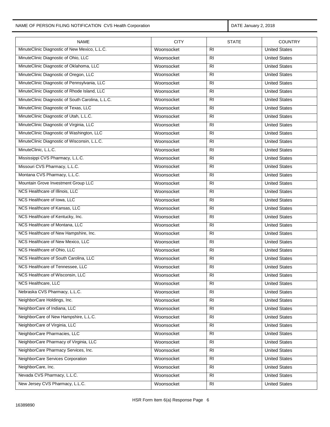| <b>NAME</b>                                       | <b>CITY</b> | <b>STATE</b>   | <b>COUNTRY</b>       |
|---------------------------------------------------|-------------|----------------|----------------------|
| MinuteClinic Diagnostic of New Mexico, L.L.C.     | Woonsocket  | R <sub>l</sub> | <b>United States</b> |
| MinuteClinic Diagnostic of Ohio, LLC              | Woonsocket  | $\overline{R}$ | <b>United States</b> |
| MinuteClinic Diagnostic of Oklahoma, LLC          | Woonsocket  | R <sub>l</sub> | <b>United States</b> |
| MinuteClinic Diagnostic of Oregon, LLC            | Woonsocket  | R <sub>l</sub> | <b>United States</b> |
| MinuteClinic Diagnostic of Pennsylvania, LLC      | Woonsocket  | R <sub>l</sub> | <b>United States</b> |
| MinuteClinic Diagnostic of Rhode Island, LLC      | Woonsocket  | R <sub>l</sub> | <b>United States</b> |
| MinuteClinic Diagnostic of South Carolina, L.L.C. | Woonsocket  | $\overline{R}$ | <b>United States</b> |
| MinuteClinic Diagnostic of Texas, LLC             | Woonsocket  | R <sub>l</sub> | <b>United States</b> |
| MinuteClinic Diagnostic of Utah, L.L.C.           | Woonsocket  | R <sub>l</sub> | <b>United States</b> |
| MinuteClinic Diagnostic of Virginia, LLC          | Woonsocket  | $\overline{R}$ | <b>United States</b> |
| MinuteClinic Diagnostic of Washington, LLC        | Woonsocket  | R <sub>l</sub> | <b>United States</b> |
| MinuteClinic Diagnostic of Wisconsin, L.L.C.      | Woonsocket  | R <sub>l</sub> | <b>United States</b> |
| MinuteClinic, L.L.C.                              | Woonsocket  | R <sub>l</sub> | <b>United States</b> |
| Mississippi CVS Pharmacy, L.L.C.                  | Woonsocket  | $\overline{R}$ | <b>United States</b> |
| Missouri CVS Pharmacy, L.L.C.                     | Woonsocket  | R <sub>l</sub> | <b>United States</b> |
| Montana CVS Pharmacy, L.L.C.                      | Woonsocket  | $\overline{R}$ | <b>United States</b> |
| Mountain Grove Investment Group LLC               | Woonsocket  | R <sub>l</sub> | <b>United States</b> |
| NCS Healthcare of Illinois, LLC                   | Woonsocket  | R <sub>l</sub> | <b>United States</b> |
| NCS Healthcare of Iowa, LLC                       | Woonsocket  | $\overline{R}$ | <b>United States</b> |
| NCS Healthcare of Kansas, LLC                     | Woonsocket  | R <sub>l</sub> | <b>United States</b> |
| NCS Healthcare of Kentucky, Inc.                  | Woonsocket  | R <sub>l</sub> | <b>United States</b> |
| NCS Healthcare of Montana, LLC                    | Woonsocket  | $\overline{R}$ | <b>United States</b> |
| NCS Healthcare of New Hampshire, Inc.             | Woonsocket  | R <sub>l</sub> | <b>United States</b> |
| NCS Healthcare of New Mexico, LLC                 | Woonsocket  | $\overline{R}$ | <b>United States</b> |
| NCS Healthcare of Ohio, LLC                       | Woonsocket  | $\overline{R}$ | <b>United States</b> |
| NCS Healthcare of South Carolina, LLC             | Woonsocket  | $\overline{R}$ | <b>United States</b> |
| NCS Healthcare of Tennessee, LLC                  | Woonsocket  | R <sub>l</sub> | <b>United States</b> |
| NCS Healthcare of Wisconsin, LLC                  | Woonsocket  | R <sub>l</sub> | <b>United States</b> |
| NCS Healthcare, LLC                               | Woonsocket  | R <sub>l</sub> | <b>United States</b> |
| Nebraska CVS Pharmacy, L.L.C.                     | Woonsocket  | RI             | <b>United States</b> |
| NeighborCare Holdings, Inc.                       | Woonsocket  | R <sub>l</sub> | <b>United States</b> |
| NeighborCare of Indiana, LLC                      | Woonsocket  | R <sub>l</sub> | <b>United States</b> |
| NeighborCare of New Hampshire, L.L.C.             | Woonsocket  | R <sub>l</sub> | <b>United States</b> |
| NeighborCare of Virginia, LLC                     | Woonsocket  | R <sub>l</sub> | <b>United States</b> |
| NeighborCare Pharmacies, LLC                      | Woonsocket  | RI             | <b>United States</b> |
| NeighborCare Pharmacy of Virginia, LLC            | Woonsocket  | R <sub>l</sub> | <b>United States</b> |
| NeighborCare Pharmacy Services, Inc.              | Woonsocket  | <b>RI</b>      | <b>United States</b> |
| NeighborCare Services Corporation                 | Woonsocket  | R <sub>l</sub> | <b>United States</b> |
| NeighborCare, Inc.                                | Woonsocket  | R <sub>l</sub> | <b>United States</b> |
| Nevada CVS Pharmacy, L.L.C.                       | Woonsocket  | R <sub>l</sub> | <b>United States</b> |
| New Jersey CVS Pharmacy, L.L.C.                   | Woonsocket  | R <sub>l</sub> | <b>United States</b> |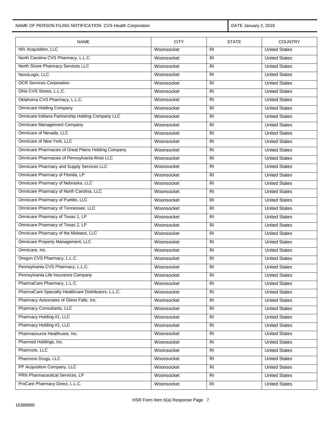| <b>NAME</b>                                          | <b>CITY</b> | <b>STATE</b>   | <b>COUNTRY</b>       |
|------------------------------------------------------|-------------|----------------|----------------------|
| NIV Acquisition, LLC                                 | Woonsocket  | R <sub>l</sub> | <b>United States</b> |
| North Carolina CVS Pharmacy, L.L.C.                  | Woonsocket  | $\overline{R}$ | <b>United States</b> |
| North Shore Pharmacy Services LLC                    | Woonsocket  | R <sub>l</sub> | <b>United States</b> |
| NovoLogix, LLC                                       | Woonsocket  | R <sub>l</sub> | <b>United States</b> |
| <b>OCR Services Corporation</b>                      | Woonsocket  | R <sub>l</sub> | <b>United States</b> |
| Ohio CVS Stores, L.L.C.                              | Woonsocket  | R <sub>l</sub> | <b>United States</b> |
| Oklahoma CVS Pharmacy, L.L.C.                        | Woonsocket  | $\overline{R}$ | <b>United States</b> |
| <b>Omnicare Holding Company</b>                      | Woonsocket  | R <sub>l</sub> | <b>United States</b> |
| Omnicare Indiana Partnership Holding Company LLC     | Woonsocket  | $\overline{R}$ | <b>United States</b> |
| <b>Omnicare Management Company</b>                   | Woonsocket  | R <sub>l</sub> | <b>United States</b> |
| Omnicare of Nevada, LLC                              | Woonsocket  | R <sub>l</sub> | <b>United States</b> |
| Omnicare of New York, LLC                            | Woonsocket  | R <sub>l</sub> | <b>United States</b> |
| Omnicare Pharmacies of Great Plains Holding Company  | Woonsocket  | R <sub>l</sub> | <b>United States</b> |
| Omnicare Pharmacies of Pennsylvania West LLC         | Woonsocket  | $\overline{R}$ | <b>United States</b> |
| Omnicare Pharmacy and Supply Services LLC            | Woonsocket  | R <sub>l</sub> | <b>United States</b> |
| Omnicare Pharmacy of Florida, LP                     | Woonsocket  | R <sub>l</sub> | <b>United States</b> |
| Omnicare Pharmacy of Nebraska, LLC                   | Woonsocket  | R <sub>l</sub> | <b>United States</b> |
| Omnicare Pharmacy of North Carolina, LLC             | Woonsocket  | R <sub>l</sub> | <b>United States</b> |
| Omnicare Pharmacy of Pueblo, LLC                     | Woonsocket  | $\overline{R}$ | <b>United States</b> |
| Omnicare Pharmacy of Tennessee, LLC                  | Woonsocket  | R <sub>l</sub> | <b>United States</b> |
| Omnicare Pharmacy of Texas 1, LP                     | Woonsocket  | R <sub>l</sub> | <b>United States</b> |
| Omnicare Pharmacy of Texas 2, LP                     | Woonsocket  | RI             | <b>United States</b> |
| Omnicare Pharmacy of the Midwest, LLC                | Woonsocket  | R <sub>l</sub> | <b>United States</b> |
| Omnicare Property Management, LLC                    | Woonsocket  | $\overline{R}$ | <b>United States</b> |
| Omnicare, Inc.                                       | Woonsocket  | RI             | <b>United States</b> |
| Oregon CVS Pharmacy, L.L.C.                          | Woonsocket  | $\overline{R}$ | <b>United States</b> |
| Pennsylvania CVS Pharmacy, L.L.C.                    | Woonsocket  | R <sub>l</sub> | <b>United States</b> |
| Pennsylvania Life Insurance Company                  | Woonsocket  | RI             | <b>United States</b> |
| PharmaCare Pharmacy, L.L.C.                          | Woonsocket  | R <sub>l</sub> | <b>United States</b> |
| PharmaCare Specialty Healthcare Distributors, L.L.C. | Woonsocket  | R <sub>l</sub> | <b>United States</b> |
| Pharmacy Associates of Glens Falls, Inc.             | Woonsocket  | RI             | <b>United States</b> |
| Pharmacy Consultants, LLC                            | Woonsocket  | R <sub>l</sub> | <b>United States</b> |
| Pharmacy Holding #1, LLC                             | Woonsocket  | R <sub>l</sub> | <b>United States</b> |
| Pharmacy Holding #2, LLC                             | Woonsocket  | R <sub>l</sub> | <b>United States</b> |
| Pharmasource Healthcare, Inc.                        | Woonsocket  | R <sub>l</sub> | <b>United States</b> |
| Pharmed Holdings, Inc.                               | Woonsocket  | R <sub>l</sub> | <b>United States</b> |
| Pharmore, LLC                                        | Woonsocket  | R <sub>l</sub> | <b>United States</b> |
| Pharmore Drugs, LLC                                  | Woonsocket  | R <sub>l</sub> | <b>United States</b> |
| PP Acquisition Company, LLC                          | Woonsocket  | RI             | <b>United States</b> |
| PRN Pharmaceutical Services, LP                      | Woonsocket  | R <sub>l</sub> | <b>United States</b> |
| ProCare Pharmacy Direct, L.L.C.                      | Woonsocket  | R <sub>l</sub> | <b>United States</b> |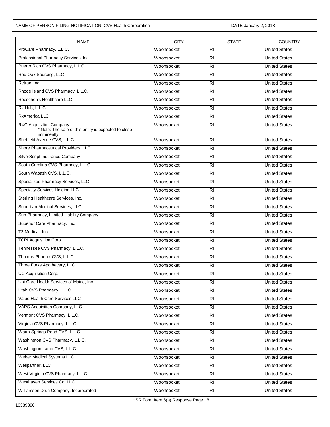## NAME OF PERSON FILING NOTIFICATION CVS Health Corporation **DATE January 2, 2018**

| <b>NAME</b>                                                                                           | <b>CITY</b> | <b>STATE</b>   | <b>COUNTRY</b>       |
|-------------------------------------------------------------------------------------------------------|-------------|----------------|----------------------|
| ProCare Pharmacy, L.L.C.                                                                              | Woonsocket  | R <sub>1</sub> | <b>United States</b> |
| Professional Pharmacy Services, Inc.                                                                  | Woonsocket  | $\overline{R}$ | <b>United States</b> |
| Puerto Rico CVS Pharmacy, L.L.C.                                                                      | Woonsocket  | R <sub>l</sub> | <b>United States</b> |
| Red Oak Sourcing, LLC                                                                                 | Woonsocket  | <b>RI</b>      | <b>United States</b> |
| Retrac, Inc.                                                                                          | Woonsocket  | R <sub>l</sub> | <b>United States</b> |
| Rhode Island CVS Pharmacy, L.L.C.                                                                     | Woonsocket  | R <sub>l</sub> | <b>United States</b> |
| Roeschen's Healthcare LLC                                                                             | Woonsocket  | $\overline{R}$ | <b>United States</b> |
| Rx Hub, L.L.C.                                                                                        | Woonsocket  | R <sub>l</sub> | <b>United States</b> |
| RxAmerica LLC                                                                                         | Woonsocket  | R <sub>l</sub> | <b>United States</b> |
| <b>RXC Acquisition Company</b><br>* Note: The sale of this entity is expected to close<br>imminently. | Woonsocket  | $\overline{R}$ | <b>United States</b> |
| Sheffield Avenue CVS, L.L.C.                                                                          | Woonsocket  | $\overline{R}$ | <b>United States</b> |
| Shore Pharmaceutical Providers, LLC                                                                   | Woonsocket  | $\overline{R}$ | <b>United States</b> |
| SilverScript Insurance Company                                                                        | Woonsocket  | R <sub>l</sub> | <b>United States</b> |
| South Carolina CVS Pharmacy, L.L.C.                                                                   | Woonsocket  | R <sub>l</sub> | <b>United States</b> |
| South Wabash CVS, L.L.C.                                                                              | Woonsocket  | R <sub>l</sub> | <b>United States</b> |
| Specialized Pharmacy Services, LLC                                                                    | Woonsocket  | R <sub>l</sub> | <b>United States</b> |
| <b>Specialty Services Holding LLC</b>                                                                 | Woonsocket  | $\overline{R}$ | <b>United States</b> |
| Sterling Healthcare Services, Inc.                                                                    | Woonsocket  | RI             | <b>United States</b> |
| Suburban Medical Services, LLC                                                                        | Woonsocket  | R <sub>l</sub> | <b>United States</b> |
| Sun Pharmacy, Limited Liability Company                                                               | Woonsocket  | R <sub>l</sub> | <b>United States</b> |
| Superior Care Pharmacy, Inc.                                                                          | Woonsocket  | R <sub>l</sub> | <b>United States</b> |
| T2 Medical, Inc.                                                                                      | Woonsocket  | R <sub>l</sub> | <b>United States</b> |
| <b>TCPI Acquisition Corp.</b>                                                                         | Woonsocket  | $\overline{R}$ | <b>United States</b> |
| Tennessee CVS Pharmacy, L.L.C.                                                                        | Woonsocket  | $\overline{R}$ | <b>United States</b> |
| Thomas Phoenix CVS, L.L.C.                                                                            | Woonsocket  | R <sub>l</sub> | <b>United States</b> |
| Three Forks Apothecary, LLC                                                                           | Woonsocket  | $\overline{R}$ | <b>United States</b> |
| UC Acquisition Corp.                                                                                  | Woonsocket  | R <sub>l</sub> | <b>United States</b> |
| Uni-Care Health Services of Maine, Inc.                                                               | Woonsocket  | R <sub>l</sub> | <b>United States</b> |
| Utah CVS Pharmacy, L.L.C.                                                                             | Woonsocket  | $\overline{R}$ | <b>United States</b> |
| Value Health Care Services LLC                                                                        | Woonsocket  | R <sub>l</sub> | <b>United States</b> |
| <b>VAPS Acquisition Company, LLC</b>                                                                  | Woonsocket  | R <sub>l</sub> | <b>United States</b> |
| Vermont CVS Pharmacy, L.L.C.                                                                          | Woonsocket  | R <sub>l</sub> | <b>United States</b> |
| Virginia CVS Pharmacy, L.L.C.                                                                         | Woonsocket  | R <sub>l</sub> | <b>United States</b> |
| Warm Springs Road CVS, L.L.C.                                                                         | Woonsocket  | R <sub>l</sub> | <b>United States</b> |
| Washington CVS Pharmacy, L.L.C.                                                                       | Woonsocket  | R <sub>l</sub> | <b>United States</b> |
| Washington Lamb CVS, L.L.C.                                                                           | Woonsocket  | R <sub>l</sub> | <b>United States</b> |
| Weber Medical Systems LLC                                                                             | Woonsocket  | <b>RI</b>      | <b>United States</b> |
| Wellpartner, LLC                                                                                      | Woonsocket  | R <sub>l</sub> | <b>United States</b> |
| West Virginia CVS Pharmacy, L.L.C.                                                                    | Woonsocket  | R <sub>l</sub> | <b>United States</b> |
| Westhaven Services Co, LLC                                                                            | Woonsocket  | R <sub>l</sub> | <b>United States</b> |
| Williamson Drug Company, Incorporated                                                                 | Woonsocket  | R <sub>l</sub> | <b>United States</b> |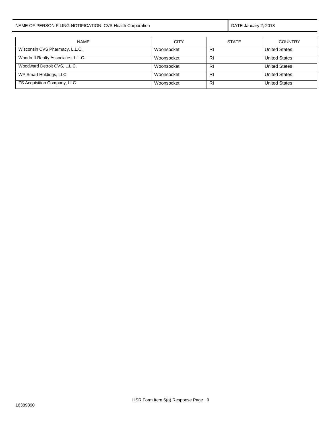NAME OF PERSON FILING NOTIFICATION CVS Health Corporation **DATE January 2, 2018** 

| <b>NAME</b>                        | <b>CITY</b> | <b>STATE</b> | <b>COUNTRY</b>       |
|------------------------------------|-------------|--------------|----------------------|
| Wisconsin CVS Pharmacy, L.L.C.     | Woonsocket  | <b>RI</b>    | <b>United States</b> |
| Woodruff Realty Associates, L.L.C. | Woonsocket  | <b>RI</b>    | <b>United States</b> |
| Woodward Detroit CVS, L.L.C.       | Woonsocket  | <b>RI</b>    | <b>United States</b> |
| WP Smart Holdings, LLC             | Woonsocket  | <b>RI</b>    | <b>United States</b> |
| ZS Acquisition Company, LLC        | Woonsocket  | <b>RI</b>    | <b>United States</b> |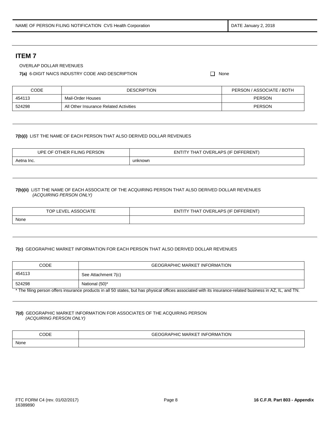# **ITEM 7**

OVERLAP DOLLAR REVENUES

**7(a)** 6-DIGIT NAICS INDUSTRY CODE AND DESCRIPTION  $\Box$  None

| CODE   | <b>DESCRIPTION</b>                     | PERSON / ASSOCIATE / BOTH |
|--------|----------------------------------------|---------------------------|
| 454113 | Mail-Order Houses                      | <b>PERSON</b>             |
| 524298 | All Other Insurance Related Activities | <b>PERSON</b>             |

#### **7(b)(i)** LIST THE NAME OF EACH PERSON THAT ALSO DERIVED DOLLAR REVENUES

| UPE OF OTHER FILING PERSON | `OVERLAPS (IF I<br>DIFFERENT)<br>ENTITY THAT |
|----------------------------|----------------------------------------------|
| Aetna Inc.                 | unknown                                      |

#### **7(b)(ii)** LIST THE NAME OF EACH ASSOCIATE OF THE ACQUIRING PERSON THAT ALSO DERIVED DOLLAR REVENUES *(ACQUIRING PERSON ONLY)*

| TOP LEVEL ASSOCIATE | ENTITY THAT OVERLAPS (IF DIFFERENT) |
|---------------------|-------------------------------------|
| None                |                                     |

#### **7(c)** GEOGRAPHIC MARKET INFORMATION FOR EACH PERSON THAT ALSO DERIVED DOLLAR REVENUES

| CODE.                                                                                                                                                      | <b>GEOGRAPHIC MARKET INFORMATION</b> |  |
|------------------------------------------------------------------------------------------------------------------------------------------------------------|--------------------------------------|--|
| 454113                                                                                                                                                     | See Attachment 7(c)                  |  |
| 524298                                                                                                                                                     | National (50)*                       |  |
| * The filing person offers insurance products in all 50 states, but has physical offices associated with its insurance-related business in AZ, IL, and TN. |                                      |  |

#### **7(d)** GEOGRAPHIC MARKET INFORMATION FOR ASSOCIATES OF THE ACQUIRING PERSON *(ACQUIRING PERSON ONLY)*

| CODE<br>$ -$ | <b>GEOGRAPHIC MARKET INFORMATION</b> |
|--------------|--------------------------------------|
| None         |                                      |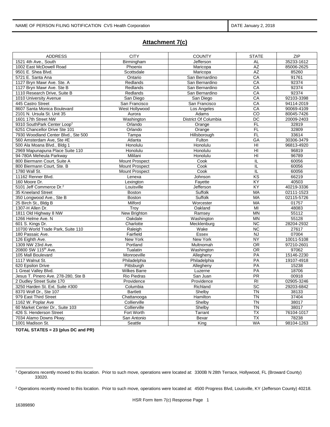# **Attachment 7(c)**

| 1521 4th Ave., South<br>35233-1612<br><b>Birmingham</b><br>Jefferson<br>AL<br>AZ<br>1002 East McDowell Road<br>Phoenix<br>Maricopa<br>85006-2625<br>$\overline{AZ}$<br>9501 E. Shea Blvd.<br>Scottsdale<br>Maricopa<br>85260<br>$\overline{CA}$<br>5721 E. Santa Ana<br>Ontario<br>San Bernardino<br>91761<br>1127 Bryn Mawr Ave. Ste. A<br>$\overline{CA}$<br>92374<br>Redlands<br>San Bernardino<br>1127 Bryn Mawr Ave. Ste B<br>CA<br>92374<br>Redlands<br>San Bernardino<br>$\overline{CA}$<br>92374<br>1110 Research Drive, Suite B<br>Redlands<br>San Bernardino<br>$\overline{CA}$<br>92103-3398<br>1010 University Avenue<br>San Diego<br>San Diego<br>CA<br>445 Castro Street<br>San Francisco<br>San Francisco<br>94114-2019<br>8607 Santa Monica Boulevard<br>CA<br>West Hollywood<br>Los Angeles<br>90069-4109<br>$\overline{co}$<br>2101 N. Ursula St. Unit 35<br>Aurora<br>Adams<br>80045-7426<br>$\overline{DC}$<br>1601 17th Street NW<br>Washington<br>District Of Columbia<br>20009-2403<br>9310 SouthPark Center Loop1<br>$\overline{FL}$<br>Orlando<br>Orange<br>32819<br>FL<br>32809<br>6251 Chancellor Drive Ste 101<br>Orlando<br>Orange<br>FL<br>33614<br>7930 Woodland Center Blvd., Ste 500<br>Tampa<br>Hillsborough<br>GA<br>560 Amsterdam Ave, Ste #E<br>Atlanta<br>Fulton<br>30306-3479<br>500 Ala Moana Blvd., Bldg 1<br>Honolulu<br>Honolulu<br>H <sub>II</sub><br>96813-4920<br>ΗI<br>2969 Mapunapuna Place Suite 110<br>Honolulu<br>Honolulu<br>96819<br>$\overline{H}$<br>94-780A Meheula Parkway<br>Mililani<br>Honolulu<br>96789<br><b>Mount Prospect</b><br>Cook<br>ΙL<br>60056<br>800 Biermann Court, Suite A<br>Cook<br>ΙL<br>60056<br>800 Biermann Court, Ste. B<br>Mount Prospect<br>ĪL<br>1780 Wall St.<br>Mount Prospect<br>Cook<br>60056<br>KS<br>11162 Renner Blvd.<br>66219<br>Lenexa<br>Johnson<br>KY<br>40503<br>160 Moore Dr.<br>Lexington<br>Fayette<br>5101 Jeff Commerce Dr. <sup>2</sup><br>Louisville<br>KY<br>40219-3336<br>Jefferson<br>35 Kneeland Street<br>Suffolk<br><b>MA</b><br>02111-1523<br><b>Boston</b><br><b>Suffolk</b><br><b>MA</b><br>350 Longwood Ave., Ste B<br><b>Boston</b><br>02115-5726<br><b>MA</b><br>01757<br>25 Birch St., Bldg B<br>Milford<br>Worcester<br>$\overline{M}$<br>48083<br>1307-H Allen Dr.<br>Troy<br>Oakland<br>$\overline{MN}$<br>1811 Old Highway 8 NW<br>New Brighton<br>Ramsev<br>55112<br>$\overline{MN}$<br>1266 Helme Ave. N<br>Washington<br>55128<br>Oakdale<br><b>NC</b><br>601 S. Kings Dr.<br>Charlotte<br>28204-2932<br>Mecklenburg<br>10700 World Trade Park, Suite 110<br><b>NC</b><br>27617<br>Raleigh<br>Wake<br>Essex<br>$\overline{N}$<br>07004<br>Fairfield<br>180 Passaic Ave.<br>$\overline{NY}$<br>126 Eighth Ave.<br>New York<br>New York<br>10011-5108<br>$\overline{OR}$<br>1309 NW 23rd Ave.<br>Portland<br>Multnomah<br>97210-2601<br>$\overline{OR}$<br>20800 SW 115 <sup>th</sup> Ave.<br>Tualatin<br>97062<br>Washington<br>PA<br>105 Mall Boulevard<br>Monroeville<br>15146-2230<br>Allegheny<br>PA<br>1117 Walnut St.<br>Philadelphia<br>Philadelphia<br>19107-4918<br>PA<br>15238<br>620 Epsilon Drive<br>Pittsburgh<br>Allegheny<br>PA<br>18706<br>1 Great Valley Blvd.<br><b>Wilkes Barre</b><br>Luzerne<br>PR<br>Jesus T. Pinero Ave. 278-280, Ste B<br><b>Rio Piedras</b><br>San Juan<br>00918<br>$\overline{R}$<br>2 Dudley Street Suite 170<br>Providence<br>Providence<br>02905-3246<br>SC<br>3250 Harden St. Ext. Suite #300<br>Columbia<br>Richland<br>29203-6842<br><b>TN</b><br>8370 Wolf Dr., Ste 107<br><b>Bartlett</b><br>Shelby<br>38133<br><b>TN</b><br>37404<br>979 East Third Street<br>Chattanooga<br>Hamilton<br>1162 W. Poplar Ave<br><b>TN</b><br>38017<br>Collierville<br>Shelby<br>$\overline{T}N$<br>60 Market Center Dr., Suite 103<br>Collierville<br>Shelby<br>38017<br>$\overline{\mathsf{TX}}$<br>76104-1017<br>Fort Worth<br><b>Tarrant</b><br>426 S. Henderson Street<br>$\overline{\mathsf{TX}}$<br>7034 Alamo Downs Pkwy.<br>San Antonio<br>Bexar<br>78238<br><b>WA</b><br>1001 Madison St.<br>98104-1263<br>Seattle | <b>ADDRESS</b> | <b>CITY</b> | <b>COUNTY</b> | <b>STATE</b> | <b>ZIP</b> |
|-----------------------------------------------------------------------------------------------------------------------------------------------------------------------------------------------------------------------------------------------------------------------------------------------------------------------------------------------------------------------------------------------------------------------------------------------------------------------------------------------------------------------------------------------------------------------------------------------------------------------------------------------------------------------------------------------------------------------------------------------------------------------------------------------------------------------------------------------------------------------------------------------------------------------------------------------------------------------------------------------------------------------------------------------------------------------------------------------------------------------------------------------------------------------------------------------------------------------------------------------------------------------------------------------------------------------------------------------------------------------------------------------------------------------------------------------------------------------------------------------------------------------------------------------------------------------------------------------------------------------------------------------------------------------------------------------------------------------------------------------------------------------------------------------------------------------------------------------------------------------------------------------------------------------------------------------------------------------------------------------------------------------------------------------------------------------------------------------------------------------------------------------------------------------------------------------------------------------------------------------------------------------------------------------------------------------------------------------------------------------------------------------------------------------------------------------------------------------------------------------------------------------------------------------------------------------------------------------------------------------------------------------------------------------------------------------------------------------------------------------------------------------------------------------------------------------------------------------------------------------------------------------------------------------------------------------------------------------------------------------------------------------------------------------------------------------------------------------------------------------------------------------------------------------------------------------------------------------------------------------------------------------------------------------------------------------------------------------------------------------------------------------------------------------------------------------------------------------------------------------------------------------------------------------------------------------------------------------------------------------------------------------------------------------------------------------------------------------------------------------------------------------------------------------------------------------------------------------------------------------------------------------------------------------------------------------------------------------------------------------------------------------------------------------------------------------------------------|----------------|-------------|---------------|--------------|------------|
|                                                                                                                                                                                                                                                                                                                                                                                                                                                                                                                                                                                                                                                                                                                                                                                                                                                                                                                                                                                                                                                                                                                                                                                                                                                                                                                                                                                                                                                                                                                                                                                                                                                                                                                                                                                                                                                                                                                                                                                                                                                                                                                                                                                                                                                                                                                                                                                                                                                                                                                                                                                                                                                                                                                                                                                                                                                                                                                                                                                                                                                                                                                                                                                                                                                                                                                                                                                                                                                                                                                                                                                                                                                                                                                                                                                                                                                                                                                                                                                                                                                                                         |                |             |               |              |            |
|                                                                                                                                                                                                                                                                                                                                                                                                                                                                                                                                                                                                                                                                                                                                                                                                                                                                                                                                                                                                                                                                                                                                                                                                                                                                                                                                                                                                                                                                                                                                                                                                                                                                                                                                                                                                                                                                                                                                                                                                                                                                                                                                                                                                                                                                                                                                                                                                                                                                                                                                                                                                                                                                                                                                                                                                                                                                                                                                                                                                                                                                                                                                                                                                                                                                                                                                                                                                                                                                                                                                                                                                                                                                                                                                                                                                                                                                                                                                                                                                                                                                                         |                |             |               |              |            |
|                                                                                                                                                                                                                                                                                                                                                                                                                                                                                                                                                                                                                                                                                                                                                                                                                                                                                                                                                                                                                                                                                                                                                                                                                                                                                                                                                                                                                                                                                                                                                                                                                                                                                                                                                                                                                                                                                                                                                                                                                                                                                                                                                                                                                                                                                                                                                                                                                                                                                                                                                                                                                                                                                                                                                                                                                                                                                                                                                                                                                                                                                                                                                                                                                                                                                                                                                                                                                                                                                                                                                                                                                                                                                                                                                                                                                                                                                                                                                                                                                                                                                         |                |             |               |              |            |
|                                                                                                                                                                                                                                                                                                                                                                                                                                                                                                                                                                                                                                                                                                                                                                                                                                                                                                                                                                                                                                                                                                                                                                                                                                                                                                                                                                                                                                                                                                                                                                                                                                                                                                                                                                                                                                                                                                                                                                                                                                                                                                                                                                                                                                                                                                                                                                                                                                                                                                                                                                                                                                                                                                                                                                                                                                                                                                                                                                                                                                                                                                                                                                                                                                                                                                                                                                                                                                                                                                                                                                                                                                                                                                                                                                                                                                                                                                                                                                                                                                                                                         |                |             |               |              |            |
|                                                                                                                                                                                                                                                                                                                                                                                                                                                                                                                                                                                                                                                                                                                                                                                                                                                                                                                                                                                                                                                                                                                                                                                                                                                                                                                                                                                                                                                                                                                                                                                                                                                                                                                                                                                                                                                                                                                                                                                                                                                                                                                                                                                                                                                                                                                                                                                                                                                                                                                                                                                                                                                                                                                                                                                                                                                                                                                                                                                                                                                                                                                                                                                                                                                                                                                                                                                                                                                                                                                                                                                                                                                                                                                                                                                                                                                                                                                                                                                                                                                                                         |                |             |               |              |            |
|                                                                                                                                                                                                                                                                                                                                                                                                                                                                                                                                                                                                                                                                                                                                                                                                                                                                                                                                                                                                                                                                                                                                                                                                                                                                                                                                                                                                                                                                                                                                                                                                                                                                                                                                                                                                                                                                                                                                                                                                                                                                                                                                                                                                                                                                                                                                                                                                                                                                                                                                                                                                                                                                                                                                                                                                                                                                                                                                                                                                                                                                                                                                                                                                                                                                                                                                                                                                                                                                                                                                                                                                                                                                                                                                                                                                                                                                                                                                                                                                                                                                                         |                |             |               |              |            |
|                                                                                                                                                                                                                                                                                                                                                                                                                                                                                                                                                                                                                                                                                                                                                                                                                                                                                                                                                                                                                                                                                                                                                                                                                                                                                                                                                                                                                                                                                                                                                                                                                                                                                                                                                                                                                                                                                                                                                                                                                                                                                                                                                                                                                                                                                                                                                                                                                                                                                                                                                                                                                                                                                                                                                                                                                                                                                                                                                                                                                                                                                                                                                                                                                                                                                                                                                                                                                                                                                                                                                                                                                                                                                                                                                                                                                                                                                                                                                                                                                                                                                         |                |             |               |              |            |
|                                                                                                                                                                                                                                                                                                                                                                                                                                                                                                                                                                                                                                                                                                                                                                                                                                                                                                                                                                                                                                                                                                                                                                                                                                                                                                                                                                                                                                                                                                                                                                                                                                                                                                                                                                                                                                                                                                                                                                                                                                                                                                                                                                                                                                                                                                                                                                                                                                                                                                                                                                                                                                                                                                                                                                                                                                                                                                                                                                                                                                                                                                                                                                                                                                                                                                                                                                                                                                                                                                                                                                                                                                                                                                                                                                                                                                                                                                                                                                                                                                                                                         |                |             |               |              |            |
|                                                                                                                                                                                                                                                                                                                                                                                                                                                                                                                                                                                                                                                                                                                                                                                                                                                                                                                                                                                                                                                                                                                                                                                                                                                                                                                                                                                                                                                                                                                                                                                                                                                                                                                                                                                                                                                                                                                                                                                                                                                                                                                                                                                                                                                                                                                                                                                                                                                                                                                                                                                                                                                                                                                                                                                                                                                                                                                                                                                                                                                                                                                                                                                                                                                                                                                                                                                                                                                                                                                                                                                                                                                                                                                                                                                                                                                                                                                                                                                                                                                                                         |                |             |               |              |            |
|                                                                                                                                                                                                                                                                                                                                                                                                                                                                                                                                                                                                                                                                                                                                                                                                                                                                                                                                                                                                                                                                                                                                                                                                                                                                                                                                                                                                                                                                                                                                                                                                                                                                                                                                                                                                                                                                                                                                                                                                                                                                                                                                                                                                                                                                                                                                                                                                                                                                                                                                                                                                                                                                                                                                                                                                                                                                                                                                                                                                                                                                                                                                                                                                                                                                                                                                                                                                                                                                                                                                                                                                                                                                                                                                                                                                                                                                                                                                                                                                                                                                                         |                |             |               |              |            |
|                                                                                                                                                                                                                                                                                                                                                                                                                                                                                                                                                                                                                                                                                                                                                                                                                                                                                                                                                                                                                                                                                                                                                                                                                                                                                                                                                                                                                                                                                                                                                                                                                                                                                                                                                                                                                                                                                                                                                                                                                                                                                                                                                                                                                                                                                                                                                                                                                                                                                                                                                                                                                                                                                                                                                                                                                                                                                                                                                                                                                                                                                                                                                                                                                                                                                                                                                                                                                                                                                                                                                                                                                                                                                                                                                                                                                                                                                                                                                                                                                                                                                         |                |             |               |              |            |
|                                                                                                                                                                                                                                                                                                                                                                                                                                                                                                                                                                                                                                                                                                                                                                                                                                                                                                                                                                                                                                                                                                                                                                                                                                                                                                                                                                                                                                                                                                                                                                                                                                                                                                                                                                                                                                                                                                                                                                                                                                                                                                                                                                                                                                                                                                                                                                                                                                                                                                                                                                                                                                                                                                                                                                                                                                                                                                                                                                                                                                                                                                                                                                                                                                                                                                                                                                                                                                                                                                                                                                                                                                                                                                                                                                                                                                                                                                                                                                                                                                                                                         |                |             |               |              |            |
|                                                                                                                                                                                                                                                                                                                                                                                                                                                                                                                                                                                                                                                                                                                                                                                                                                                                                                                                                                                                                                                                                                                                                                                                                                                                                                                                                                                                                                                                                                                                                                                                                                                                                                                                                                                                                                                                                                                                                                                                                                                                                                                                                                                                                                                                                                                                                                                                                                                                                                                                                                                                                                                                                                                                                                                                                                                                                                                                                                                                                                                                                                                                                                                                                                                                                                                                                                                                                                                                                                                                                                                                                                                                                                                                                                                                                                                                                                                                                                                                                                                                                         |                |             |               |              |            |
|                                                                                                                                                                                                                                                                                                                                                                                                                                                                                                                                                                                                                                                                                                                                                                                                                                                                                                                                                                                                                                                                                                                                                                                                                                                                                                                                                                                                                                                                                                                                                                                                                                                                                                                                                                                                                                                                                                                                                                                                                                                                                                                                                                                                                                                                                                                                                                                                                                                                                                                                                                                                                                                                                                                                                                                                                                                                                                                                                                                                                                                                                                                                                                                                                                                                                                                                                                                                                                                                                                                                                                                                                                                                                                                                                                                                                                                                                                                                                                                                                                                                                         |                |             |               |              |            |
|                                                                                                                                                                                                                                                                                                                                                                                                                                                                                                                                                                                                                                                                                                                                                                                                                                                                                                                                                                                                                                                                                                                                                                                                                                                                                                                                                                                                                                                                                                                                                                                                                                                                                                                                                                                                                                                                                                                                                                                                                                                                                                                                                                                                                                                                                                                                                                                                                                                                                                                                                                                                                                                                                                                                                                                                                                                                                                                                                                                                                                                                                                                                                                                                                                                                                                                                                                                                                                                                                                                                                                                                                                                                                                                                                                                                                                                                                                                                                                                                                                                                                         |                |             |               |              |            |
|                                                                                                                                                                                                                                                                                                                                                                                                                                                                                                                                                                                                                                                                                                                                                                                                                                                                                                                                                                                                                                                                                                                                                                                                                                                                                                                                                                                                                                                                                                                                                                                                                                                                                                                                                                                                                                                                                                                                                                                                                                                                                                                                                                                                                                                                                                                                                                                                                                                                                                                                                                                                                                                                                                                                                                                                                                                                                                                                                                                                                                                                                                                                                                                                                                                                                                                                                                                                                                                                                                                                                                                                                                                                                                                                                                                                                                                                                                                                                                                                                                                                                         |                |             |               |              |            |
|                                                                                                                                                                                                                                                                                                                                                                                                                                                                                                                                                                                                                                                                                                                                                                                                                                                                                                                                                                                                                                                                                                                                                                                                                                                                                                                                                                                                                                                                                                                                                                                                                                                                                                                                                                                                                                                                                                                                                                                                                                                                                                                                                                                                                                                                                                                                                                                                                                                                                                                                                                                                                                                                                                                                                                                                                                                                                                                                                                                                                                                                                                                                                                                                                                                                                                                                                                                                                                                                                                                                                                                                                                                                                                                                                                                                                                                                                                                                                                                                                                                                                         |                |             |               |              |            |
|                                                                                                                                                                                                                                                                                                                                                                                                                                                                                                                                                                                                                                                                                                                                                                                                                                                                                                                                                                                                                                                                                                                                                                                                                                                                                                                                                                                                                                                                                                                                                                                                                                                                                                                                                                                                                                                                                                                                                                                                                                                                                                                                                                                                                                                                                                                                                                                                                                                                                                                                                                                                                                                                                                                                                                                                                                                                                                                                                                                                                                                                                                                                                                                                                                                                                                                                                                                                                                                                                                                                                                                                                                                                                                                                                                                                                                                                                                                                                                                                                                                                                         |                |             |               |              |            |
|                                                                                                                                                                                                                                                                                                                                                                                                                                                                                                                                                                                                                                                                                                                                                                                                                                                                                                                                                                                                                                                                                                                                                                                                                                                                                                                                                                                                                                                                                                                                                                                                                                                                                                                                                                                                                                                                                                                                                                                                                                                                                                                                                                                                                                                                                                                                                                                                                                                                                                                                                                                                                                                                                                                                                                                                                                                                                                                                                                                                                                                                                                                                                                                                                                                                                                                                                                                                                                                                                                                                                                                                                                                                                                                                                                                                                                                                                                                                                                                                                                                                                         |                |             |               |              |            |
|                                                                                                                                                                                                                                                                                                                                                                                                                                                                                                                                                                                                                                                                                                                                                                                                                                                                                                                                                                                                                                                                                                                                                                                                                                                                                                                                                                                                                                                                                                                                                                                                                                                                                                                                                                                                                                                                                                                                                                                                                                                                                                                                                                                                                                                                                                                                                                                                                                                                                                                                                                                                                                                                                                                                                                                                                                                                                                                                                                                                                                                                                                                                                                                                                                                                                                                                                                                                                                                                                                                                                                                                                                                                                                                                                                                                                                                                                                                                                                                                                                                                                         |                |             |               |              |            |
|                                                                                                                                                                                                                                                                                                                                                                                                                                                                                                                                                                                                                                                                                                                                                                                                                                                                                                                                                                                                                                                                                                                                                                                                                                                                                                                                                                                                                                                                                                                                                                                                                                                                                                                                                                                                                                                                                                                                                                                                                                                                                                                                                                                                                                                                                                                                                                                                                                                                                                                                                                                                                                                                                                                                                                                                                                                                                                                                                                                                                                                                                                                                                                                                                                                                                                                                                                                                                                                                                                                                                                                                                                                                                                                                                                                                                                                                                                                                                                                                                                                                                         |                |             |               |              |            |
|                                                                                                                                                                                                                                                                                                                                                                                                                                                                                                                                                                                                                                                                                                                                                                                                                                                                                                                                                                                                                                                                                                                                                                                                                                                                                                                                                                                                                                                                                                                                                                                                                                                                                                                                                                                                                                                                                                                                                                                                                                                                                                                                                                                                                                                                                                                                                                                                                                                                                                                                                                                                                                                                                                                                                                                                                                                                                                                                                                                                                                                                                                                                                                                                                                                                                                                                                                                                                                                                                                                                                                                                                                                                                                                                                                                                                                                                                                                                                                                                                                                                                         |                |             |               |              |            |
|                                                                                                                                                                                                                                                                                                                                                                                                                                                                                                                                                                                                                                                                                                                                                                                                                                                                                                                                                                                                                                                                                                                                                                                                                                                                                                                                                                                                                                                                                                                                                                                                                                                                                                                                                                                                                                                                                                                                                                                                                                                                                                                                                                                                                                                                                                                                                                                                                                                                                                                                                                                                                                                                                                                                                                                                                                                                                                                                                                                                                                                                                                                                                                                                                                                                                                                                                                                                                                                                                                                                                                                                                                                                                                                                                                                                                                                                                                                                                                                                                                                                                         |                |             |               |              |            |
|                                                                                                                                                                                                                                                                                                                                                                                                                                                                                                                                                                                                                                                                                                                                                                                                                                                                                                                                                                                                                                                                                                                                                                                                                                                                                                                                                                                                                                                                                                                                                                                                                                                                                                                                                                                                                                                                                                                                                                                                                                                                                                                                                                                                                                                                                                                                                                                                                                                                                                                                                                                                                                                                                                                                                                                                                                                                                                                                                                                                                                                                                                                                                                                                                                                                                                                                                                                                                                                                                                                                                                                                                                                                                                                                                                                                                                                                                                                                                                                                                                                                                         |                |             |               |              |            |
|                                                                                                                                                                                                                                                                                                                                                                                                                                                                                                                                                                                                                                                                                                                                                                                                                                                                                                                                                                                                                                                                                                                                                                                                                                                                                                                                                                                                                                                                                                                                                                                                                                                                                                                                                                                                                                                                                                                                                                                                                                                                                                                                                                                                                                                                                                                                                                                                                                                                                                                                                                                                                                                                                                                                                                                                                                                                                                                                                                                                                                                                                                                                                                                                                                                                                                                                                                                                                                                                                                                                                                                                                                                                                                                                                                                                                                                                                                                                                                                                                                                                                         |                |             |               |              |            |
|                                                                                                                                                                                                                                                                                                                                                                                                                                                                                                                                                                                                                                                                                                                                                                                                                                                                                                                                                                                                                                                                                                                                                                                                                                                                                                                                                                                                                                                                                                                                                                                                                                                                                                                                                                                                                                                                                                                                                                                                                                                                                                                                                                                                                                                                                                                                                                                                                                                                                                                                                                                                                                                                                                                                                                                                                                                                                                                                                                                                                                                                                                                                                                                                                                                                                                                                                                                                                                                                                                                                                                                                                                                                                                                                                                                                                                                                                                                                                                                                                                                                                         |                |             |               |              |            |
|                                                                                                                                                                                                                                                                                                                                                                                                                                                                                                                                                                                                                                                                                                                                                                                                                                                                                                                                                                                                                                                                                                                                                                                                                                                                                                                                                                                                                                                                                                                                                                                                                                                                                                                                                                                                                                                                                                                                                                                                                                                                                                                                                                                                                                                                                                                                                                                                                                                                                                                                                                                                                                                                                                                                                                                                                                                                                                                                                                                                                                                                                                                                                                                                                                                                                                                                                                                                                                                                                                                                                                                                                                                                                                                                                                                                                                                                                                                                                                                                                                                                                         |                |             |               |              |            |
|                                                                                                                                                                                                                                                                                                                                                                                                                                                                                                                                                                                                                                                                                                                                                                                                                                                                                                                                                                                                                                                                                                                                                                                                                                                                                                                                                                                                                                                                                                                                                                                                                                                                                                                                                                                                                                                                                                                                                                                                                                                                                                                                                                                                                                                                                                                                                                                                                                                                                                                                                                                                                                                                                                                                                                                                                                                                                                                                                                                                                                                                                                                                                                                                                                                                                                                                                                                                                                                                                                                                                                                                                                                                                                                                                                                                                                                                                                                                                                                                                                                                                         |                |             |               |              |            |
|                                                                                                                                                                                                                                                                                                                                                                                                                                                                                                                                                                                                                                                                                                                                                                                                                                                                                                                                                                                                                                                                                                                                                                                                                                                                                                                                                                                                                                                                                                                                                                                                                                                                                                                                                                                                                                                                                                                                                                                                                                                                                                                                                                                                                                                                                                                                                                                                                                                                                                                                                                                                                                                                                                                                                                                                                                                                                                                                                                                                                                                                                                                                                                                                                                                                                                                                                                                                                                                                                                                                                                                                                                                                                                                                                                                                                                                                                                                                                                                                                                                                                         |                |             |               |              |            |
|                                                                                                                                                                                                                                                                                                                                                                                                                                                                                                                                                                                                                                                                                                                                                                                                                                                                                                                                                                                                                                                                                                                                                                                                                                                                                                                                                                                                                                                                                                                                                                                                                                                                                                                                                                                                                                                                                                                                                                                                                                                                                                                                                                                                                                                                                                                                                                                                                                                                                                                                                                                                                                                                                                                                                                                                                                                                                                                                                                                                                                                                                                                                                                                                                                                                                                                                                                                                                                                                                                                                                                                                                                                                                                                                                                                                                                                                                                                                                                                                                                                                                         |                |             |               |              |            |
|                                                                                                                                                                                                                                                                                                                                                                                                                                                                                                                                                                                                                                                                                                                                                                                                                                                                                                                                                                                                                                                                                                                                                                                                                                                                                                                                                                                                                                                                                                                                                                                                                                                                                                                                                                                                                                                                                                                                                                                                                                                                                                                                                                                                                                                                                                                                                                                                                                                                                                                                                                                                                                                                                                                                                                                                                                                                                                                                                                                                                                                                                                                                                                                                                                                                                                                                                                                                                                                                                                                                                                                                                                                                                                                                                                                                                                                                                                                                                                                                                                                                                         |                |             |               |              |            |
|                                                                                                                                                                                                                                                                                                                                                                                                                                                                                                                                                                                                                                                                                                                                                                                                                                                                                                                                                                                                                                                                                                                                                                                                                                                                                                                                                                                                                                                                                                                                                                                                                                                                                                                                                                                                                                                                                                                                                                                                                                                                                                                                                                                                                                                                                                                                                                                                                                                                                                                                                                                                                                                                                                                                                                                                                                                                                                                                                                                                                                                                                                                                                                                                                                                                                                                                                                                                                                                                                                                                                                                                                                                                                                                                                                                                                                                                                                                                                                                                                                                                                         |                |             |               |              |            |
|                                                                                                                                                                                                                                                                                                                                                                                                                                                                                                                                                                                                                                                                                                                                                                                                                                                                                                                                                                                                                                                                                                                                                                                                                                                                                                                                                                                                                                                                                                                                                                                                                                                                                                                                                                                                                                                                                                                                                                                                                                                                                                                                                                                                                                                                                                                                                                                                                                                                                                                                                                                                                                                                                                                                                                                                                                                                                                                                                                                                                                                                                                                                                                                                                                                                                                                                                                                                                                                                                                                                                                                                                                                                                                                                                                                                                                                                                                                                                                                                                                                                                         |                |             |               |              |            |
|                                                                                                                                                                                                                                                                                                                                                                                                                                                                                                                                                                                                                                                                                                                                                                                                                                                                                                                                                                                                                                                                                                                                                                                                                                                                                                                                                                                                                                                                                                                                                                                                                                                                                                                                                                                                                                                                                                                                                                                                                                                                                                                                                                                                                                                                                                                                                                                                                                                                                                                                                                                                                                                                                                                                                                                                                                                                                                                                                                                                                                                                                                                                                                                                                                                                                                                                                                                                                                                                                                                                                                                                                                                                                                                                                                                                                                                                                                                                                                                                                                                                                         |                |             |               |              |            |
|                                                                                                                                                                                                                                                                                                                                                                                                                                                                                                                                                                                                                                                                                                                                                                                                                                                                                                                                                                                                                                                                                                                                                                                                                                                                                                                                                                                                                                                                                                                                                                                                                                                                                                                                                                                                                                                                                                                                                                                                                                                                                                                                                                                                                                                                                                                                                                                                                                                                                                                                                                                                                                                                                                                                                                                                                                                                                                                                                                                                                                                                                                                                                                                                                                                                                                                                                                                                                                                                                                                                                                                                                                                                                                                                                                                                                                                                                                                                                                                                                                                                                         |                |             |               |              |            |
|                                                                                                                                                                                                                                                                                                                                                                                                                                                                                                                                                                                                                                                                                                                                                                                                                                                                                                                                                                                                                                                                                                                                                                                                                                                                                                                                                                                                                                                                                                                                                                                                                                                                                                                                                                                                                                                                                                                                                                                                                                                                                                                                                                                                                                                                                                                                                                                                                                                                                                                                                                                                                                                                                                                                                                                                                                                                                                                                                                                                                                                                                                                                                                                                                                                                                                                                                                                                                                                                                                                                                                                                                                                                                                                                                                                                                                                                                                                                                                                                                                                                                         |                |             |               |              |            |
|                                                                                                                                                                                                                                                                                                                                                                                                                                                                                                                                                                                                                                                                                                                                                                                                                                                                                                                                                                                                                                                                                                                                                                                                                                                                                                                                                                                                                                                                                                                                                                                                                                                                                                                                                                                                                                                                                                                                                                                                                                                                                                                                                                                                                                                                                                                                                                                                                                                                                                                                                                                                                                                                                                                                                                                                                                                                                                                                                                                                                                                                                                                                                                                                                                                                                                                                                                                                                                                                                                                                                                                                                                                                                                                                                                                                                                                                                                                                                                                                                                                                                         |                |             |               |              |            |
|                                                                                                                                                                                                                                                                                                                                                                                                                                                                                                                                                                                                                                                                                                                                                                                                                                                                                                                                                                                                                                                                                                                                                                                                                                                                                                                                                                                                                                                                                                                                                                                                                                                                                                                                                                                                                                                                                                                                                                                                                                                                                                                                                                                                                                                                                                                                                                                                                                                                                                                                                                                                                                                                                                                                                                                                                                                                                                                                                                                                                                                                                                                                                                                                                                                                                                                                                                                                                                                                                                                                                                                                                                                                                                                                                                                                                                                                                                                                                                                                                                                                                         |                |             |               |              |            |
|                                                                                                                                                                                                                                                                                                                                                                                                                                                                                                                                                                                                                                                                                                                                                                                                                                                                                                                                                                                                                                                                                                                                                                                                                                                                                                                                                                                                                                                                                                                                                                                                                                                                                                                                                                                                                                                                                                                                                                                                                                                                                                                                                                                                                                                                                                                                                                                                                                                                                                                                                                                                                                                                                                                                                                                                                                                                                                                                                                                                                                                                                                                                                                                                                                                                                                                                                                                                                                                                                                                                                                                                                                                                                                                                                                                                                                                                                                                                                                                                                                                                                         |                |             |               |              |            |
|                                                                                                                                                                                                                                                                                                                                                                                                                                                                                                                                                                                                                                                                                                                                                                                                                                                                                                                                                                                                                                                                                                                                                                                                                                                                                                                                                                                                                                                                                                                                                                                                                                                                                                                                                                                                                                                                                                                                                                                                                                                                                                                                                                                                                                                                                                                                                                                                                                                                                                                                                                                                                                                                                                                                                                                                                                                                                                                                                                                                                                                                                                                                                                                                                                                                                                                                                                                                                                                                                                                                                                                                                                                                                                                                                                                                                                                                                                                                                                                                                                                                                         |                |             |               |              |            |
|                                                                                                                                                                                                                                                                                                                                                                                                                                                                                                                                                                                                                                                                                                                                                                                                                                                                                                                                                                                                                                                                                                                                                                                                                                                                                                                                                                                                                                                                                                                                                                                                                                                                                                                                                                                                                                                                                                                                                                                                                                                                                                                                                                                                                                                                                                                                                                                                                                                                                                                                                                                                                                                                                                                                                                                                                                                                                                                                                                                                                                                                                                                                                                                                                                                                                                                                                                                                                                                                                                                                                                                                                                                                                                                                                                                                                                                                                                                                                                                                                                                                                         |                |             |               |              |            |
|                                                                                                                                                                                                                                                                                                                                                                                                                                                                                                                                                                                                                                                                                                                                                                                                                                                                                                                                                                                                                                                                                                                                                                                                                                                                                                                                                                                                                                                                                                                                                                                                                                                                                                                                                                                                                                                                                                                                                                                                                                                                                                                                                                                                                                                                                                                                                                                                                                                                                                                                                                                                                                                                                                                                                                                                                                                                                                                                                                                                                                                                                                                                                                                                                                                                                                                                                                                                                                                                                                                                                                                                                                                                                                                                                                                                                                                                                                                                                                                                                                                                                         |                |             |               |              |            |
|                                                                                                                                                                                                                                                                                                                                                                                                                                                                                                                                                                                                                                                                                                                                                                                                                                                                                                                                                                                                                                                                                                                                                                                                                                                                                                                                                                                                                                                                                                                                                                                                                                                                                                                                                                                                                                                                                                                                                                                                                                                                                                                                                                                                                                                                                                                                                                                                                                                                                                                                                                                                                                                                                                                                                                                                                                                                                                                                                                                                                                                                                                                                                                                                                                                                                                                                                                                                                                                                                                                                                                                                                                                                                                                                                                                                                                                                                                                                                                                                                                                                                         |                |             |               |              |            |
|                                                                                                                                                                                                                                                                                                                                                                                                                                                                                                                                                                                                                                                                                                                                                                                                                                                                                                                                                                                                                                                                                                                                                                                                                                                                                                                                                                                                                                                                                                                                                                                                                                                                                                                                                                                                                                                                                                                                                                                                                                                                                                                                                                                                                                                                                                                                                                                                                                                                                                                                                                                                                                                                                                                                                                                                                                                                                                                                                                                                                                                                                                                                                                                                                                                                                                                                                                                                                                                                                                                                                                                                                                                                                                                                                                                                                                                                                                                                                                                                                                                                                         |                |             |               |              |            |
|                                                                                                                                                                                                                                                                                                                                                                                                                                                                                                                                                                                                                                                                                                                                                                                                                                                                                                                                                                                                                                                                                                                                                                                                                                                                                                                                                                                                                                                                                                                                                                                                                                                                                                                                                                                                                                                                                                                                                                                                                                                                                                                                                                                                                                                                                                                                                                                                                                                                                                                                                                                                                                                                                                                                                                                                                                                                                                                                                                                                                                                                                                                                                                                                                                                                                                                                                                                                                                                                                                                                                                                                                                                                                                                                                                                                                                                                                                                                                                                                                                                                                         |                |             |               |              |            |
|                                                                                                                                                                                                                                                                                                                                                                                                                                                                                                                                                                                                                                                                                                                                                                                                                                                                                                                                                                                                                                                                                                                                                                                                                                                                                                                                                                                                                                                                                                                                                                                                                                                                                                                                                                                                                                                                                                                                                                                                                                                                                                                                                                                                                                                                                                                                                                                                                                                                                                                                                                                                                                                                                                                                                                                                                                                                                                                                                                                                                                                                                                                                                                                                                                                                                                                                                                                                                                                                                                                                                                                                                                                                                                                                                                                                                                                                                                                                                                                                                                                                                         |                |             |               |              |            |
|                                                                                                                                                                                                                                                                                                                                                                                                                                                                                                                                                                                                                                                                                                                                                                                                                                                                                                                                                                                                                                                                                                                                                                                                                                                                                                                                                                                                                                                                                                                                                                                                                                                                                                                                                                                                                                                                                                                                                                                                                                                                                                                                                                                                                                                                                                                                                                                                                                                                                                                                                                                                                                                                                                                                                                                                                                                                                                                                                                                                                                                                                                                                                                                                                                                                                                                                                                                                                                                                                                                                                                                                                                                                                                                                                                                                                                                                                                                                                                                                                                                                                         |                |             |               |              |            |
|                                                                                                                                                                                                                                                                                                                                                                                                                                                                                                                                                                                                                                                                                                                                                                                                                                                                                                                                                                                                                                                                                                                                                                                                                                                                                                                                                                                                                                                                                                                                                                                                                                                                                                                                                                                                                                                                                                                                                                                                                                                                                                                                                                                                                                                                                                                                                                                                                                                                                                                                                                                                                                                                                                                                                                                                                                                                                                                                                                                                                                                                                                                                                                                                                                                                                                                                                                                                                                                                                                                                                                                                                                                                                                                                                                                                                                                                                                                                                                                                                                                                                         |                |             |               |              |            |
|                                                                                                                                                                                                                                                                                                                                                                                                                                                                                                                                                                                                                                                                                                                                                                                                                                                                                                                                                                                                                                                                                                                                                                                                                                                                                                                                                                                                                                                                                                                                                                                                                                                                                                                                                                                                                                                                                                                                                                                                                                                                                                                                                                                                                                                                                                                                                                                                                                                                                                                                                                                                                                                                                                                                                                                                                                                                                                                                                                                                                                                                                                                                                                                                                                                                                                                                                                                                                                                                                                                                                                                                                                                                                                                                                                                                                                                                                                                                                                                                                                                                                         |                |             |               |              |            |
|                                                                                                                                                                                                                                                                                                                                                                                                                                                                                                                                                                                                                                                                                                                                                                                                                                                                                                                                                                                                                                                                                                                                                                                                                                                                                                                                                                                                                                                                                                                                                                                                                                                                                                                                                                                                                                                                                                                                                                                                                                                                                                                                                                                                                                                                                                                                                                                                                                                                                                                                                                                                                                                                                                                                                                                                                                                                                                                                                                                                                                                                                                                                                                                                                                                                                                                                                                                                                                                                                                                                                                                                                                                                                                                                                                                                                                                                                                                                                                                                                                                                                         |                |             |               |              |            |
|                                                                                                                                                                                                                                                                                                                                                                                                                                                                                                                                                                                                                                                                                                                                                                                                                                                                                                                                                                                                                                                                                                                                                                                                                                                                                                                                                                                                                                                                                                                                                                                                                                                                                                                                                                                                                                                                                                                                                                                                                                                                                                                                                                                                                                                                                                                                                                                                                                                                                                                                                                                                                                                                                                                                                                                                                                                                                                                                                                                                                                                                                                                                                                                                                                                                                                                                                                                                                                                                                                                                                                                                                                                                                                                                                                                                                                                                                                                                                                                                                                                                                         |                |             | King          |              |            |

**TOTAL STATES = 23 (plus DC and PR)**

<sup>1</sup> Operations recently moved to this location. Prior to such move, operations were located at: 3300B N 28th Terrace, Hollywood, FL (Broward County) 33020.

<sup>&</sup>lt;sup>2</sup> Operations recently moved to this location. Prior to such move, operations were located at: 4500 Progress Blvd, Louisville, KY (Jefferson County) 40218.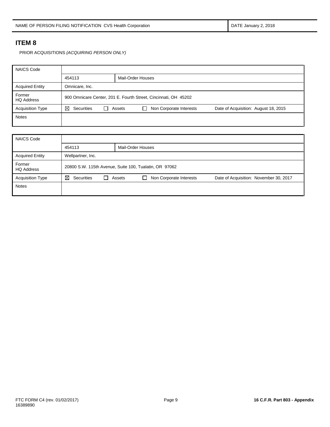# **ITEM 8**

PRIOR ACQUISITIONS *(ACQUIRING PERSON ONLY)*

| <b>NAICS Code</b>           |                                                                                              |                   |  |  |  |
|-----------------------------|----------------------------------------------------------------------------------------------|-------------------|--|--|--|
|                             | 454113                                                                                       | Mail-Order Houses |  |  |  |
| <b>Acquired Entity</b>      | Omnicare, Inc.                                                                               |                   |  |  |  |
| Former<br><b>HQ Address</b> | 900 Omnicare Center, 201 E. Fourth Street, Cincinnati, OH 45202                              |                   |  |  |  |
| <b>Acquisition Type</b>     | ⊠<br>Non Corporate Interests<br>Securities<br>Assets<br>Date of Acquisition: August 18, 2015 |                   |  |  |  |
| <b>Notes</b>                |                                                                                              |                   |  |  |  |

| <b>NAICS Code</b>           |                                                        |                                   |                                        |  |
|-----------------------------|--------------------------------------------------------|-----------------------------------|----------------------------------------|--|
|                             | 454113                                                 | Mail-Order Houses                 |                                        |  |
| <b>Acquired Entity</b>      | Wellpartner, Inc.                                      |                                   |                                        |  |
| Former<br><b>HQ Address</b> | 20800 S.W. 115th Avenue, Suite 100, Tualatin, OR 97062 |                                   |                                        |  |
| <b>Acquisition Type</b>     | ⊠<br>Securities                                        | Non Corporate Interests<br>Assets | Date of Acquisition: November 30, 2017 |  |
| Notes                       |                                                        |                                   |                                        |  |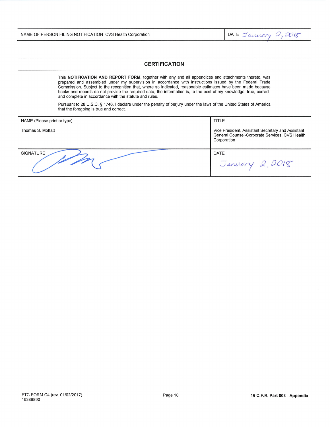| NAME OF PERSON FILING NOTIFICATION CVS Health Corporation |  |
|-----------------------------------------------------------|--|
|-----------------------------------------------------------|--|

#### **CERTIFICATION**

This NOTIFICATION AND REPORT FORM, together with any and all appendices and attachments thereto, was prepared and assembled under my supervision in accordance with instructions issued by the Federal Trade Commission. Subject to the recognition that, where so indicated, reasonable estimates have been made because books and records do not provide the required data, the information is, to the best of my knowledge, true, correct, and complete in accordance with the statute and rules.

Pursuant to 28 U.S.C. § 1746, I declare under the penalty of perjury under the laws of the United States of America that the foregoing is true and correct.

| NAME (Please print or type) | TITLE                                                                                                              |
|-----------------------------|--------------------------------------------------------------------------------------------------------------------|
| Thomas S. Moffatt           | Vice President, Assistant Secretary and Assistant<br>General Counsel-Corporate Services, CVS Health<br>Corporation |
| <b>SIGNATURE</b>            | DATE<br>January 2, 2018                                                                                            |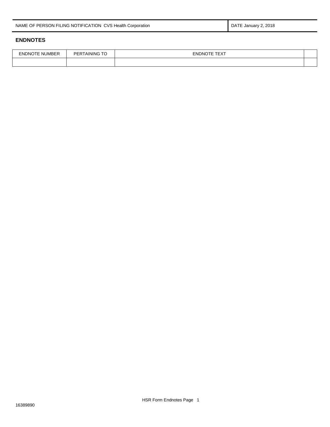| NAME OF PERSON FILING NOTIFICATION CVS Health Corporation | DATE January 2, 2018 |
|-----------------------------------------------------------|----------------------|
|-----------------------------------------------------------|----------------------|

#### **ENDNOTES**

| NUMBER<br>ENI<br>JNU J<br>- 1817<br>. <del>.</del> | <b>TAINING TO</b><br>DE<br>ᇊ | エロソエ<br><b>ENDNOTE</b><br>-<br>` ヒ ヘ 、 |  |
|----------------------------------------------------|------------------------------|----------------------------------------|--|
|                                                    |                              |                                        |  |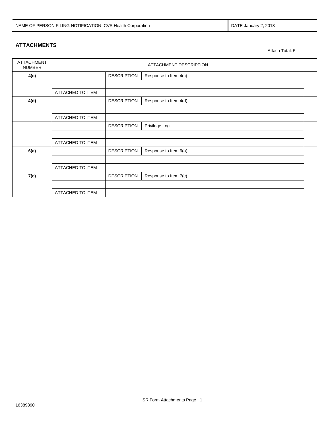| NAME OF PERSON FILING NOTIFICATION CVS Health Corporation | <b>DATE</b> |
|-----------------------------------------------------------|-------------|

January 2, 2018

# **ATTACHMENTS**

Attach Total: 5

| <b>ATTACHMENT</b><br><b>NUMBER</b> | <b>ATTACHMENT DESCRIPTION</b> |                    |                       |  |
|------------------------------------|-------------------------------|--------------------|-----------------------|--|
| 4(c)                               |                               | <b>DESCRIPTION</b> | Response to Item 4(c) |  |
|                                    |                               |                    |                       |  |
|                                    | ATTACHED TO ITEM              |                    |                       |  |
| 4(d)                               |                               | <b>DESCRIPTION</b> | Response to Item 4(d) |  |
|                                    |                               |                    |                       |  |
|                                    | ATTACHED TO ITEM              |                    |                       |  |
|                                    |                               | <b>DESCRIPTION</b> | Privilege Log         |  |
|                                    |                               |                    |                       |  |
|                                    | ATTACHED TO ITEM              |                    |                       |  |
| 6(a)                               |                               | <b>DESCRIPTION</b> | Response to Item 6(a) |  |
|                                    |                               |                    |                       |  |
|                                    | ATTACHED TO ITEM              |                    |                       |  |
| 7(c)                               |                               | <b>DESCRIPTION</b> | Response to Item 7(c) |  |
|                                    |                               |                    |                       |  |
|                                    | ATTACHED TO ITEM              |                    |                       |  |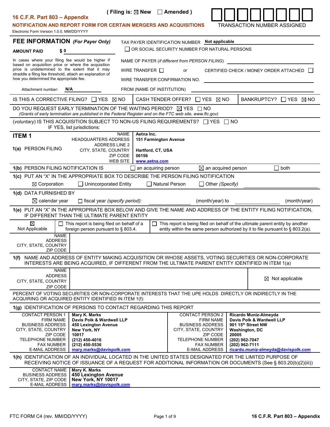# **16 C.F.R. Part 803 – Appendix**

**(Filing is: ⊠ New □ Amended )** 



# **NOTIFICATION AND REPORT FORM FOR CERTAIN MERGERS AND ACQUISITIONS** TRANSACTION NUMBER ASSIGNED

Electronic Form Version 1.0.0, MM/DD/YYYY

|  | RANSACTION NUMBER ASSIGNE |
|--|---------------------------|
|--|---------------------------|

| FEE INFORMATION (For Payer Only)                                                                               | TAX PAYER IDENTIFICATION NUMBER Not applicable                                                                                                                            |  |  |  |
|----------------------------------------------------------------------------------------------------------------|---------------------------------------------------------------------------------------------------------------------------------------------------------------------------|--|--|--|
| \$0<br><b>AMOUNT PAID</b>                                                                                      | $\Box$ OR SOCIAL SECURITY NUMBER FOR NATURAL PERSONS                                                                                                                      |  |  |  |
| In cases where your filing fee would be higher if<br>based on acquisition price or where the acquisition       | NAME OF PAYER (if different from PERSON FILING)                                                                                                                           |  |  |  |
| price is undetermined to the extent that it may<br>straddle a filing fee threshold, attach an explanation of   | CERTIFIED CHECK / MONEY ORDER ATTACHED<br>WIRE TRANSFER<br>or                                                                                                             |  |  |  |
| how you determined the appropriate fee.                                                                        | WIRE TRANSFER CONFIRMATION NO.                                                                                                                                            |  |  |  |
| Attachment number:<br>N/A                                                                                      | FROM (NAME OF INSTITUTION)                                                                                                                                                |  |  |  |
| IS THIS A CORRECTIVE FILING? $\Box$ YES $\boxtimes$ NO                                                         | CASH TENDER OFFER? $\Box$ YES $\boxtimes$ NO<br>BANKRUPTCY? □ YES ⊠ NO                                                                                                    |  |  |  |
| DO YOU REQUEST EARLY TERMINATION OF THE WAITING PERIOD? $\boxtimes$ YES $\Box$ NO                              | (Grants of early termination are published in the Federal Register and on the FTC web site, www.ftc.gov)                                                                  |  |  |  |
| (voluntary) IS THIS ACQUISITION SUBJECT TO NON-US FILING REQUIREMENTS? □ YES<br>IF YES, list jurisdictions:    | I NO                                                                                                                                                                      |  |  |  |
| <b>ITEM1</b><br><b>HEADQUARTERS ADDRESS</b>                                                                    | <b>NAME</b><br>Aetna Inc.<br><b>151 Farmington Avenue</b>                                                                                                                 |  |  |  |
| <b>ADDRESS LINE 2</b><br>1(a) PERSON FILING                                                                    |                                                                                                                                                                           |  |  |  |
| CITY, STATE, COUNTRY                                                                                           | Hartford, CT, USA<br>ZIP CODE<br>06156                                                                                                                                    |  |  |  |
| 1(b) PERSON FILING NOTIFICATION IS                                                                             | <b>WEB SITE</b><br>www.aetna.com<br>$\boxtimes$ an acquired person<br>$\Box$ both<br>an acquiring person                                                                  |  |  |  |
|                                                                                                                | 1(c) PUT AN "X" IN THE APPROPRIATE BOX TO DESCRIBE THE PERSON FILING NOTIFICATION                                                                                         |  |  |  |
| □ Unincorporated Entity<br>$\boxtimes$ Corporation                                                             | □ Natural Person<br>$\Box$ Other (Specify)                                                                                                                                |  |  |  |
| 1(d) DATA FURNISHED BY                                                                                         |                                                                                                                                                                           |  |  |  |
| $\boxtimes$ calendar year<br>$\Box$ fiscal year (specify period):                                              | (month/year) to<br>(month/year)                                                                                                                                           |  |  |  |
| IF DIFFERENT THAN THE ULTIMATE PARENT ENTITY                                                                   | 1(e) PUT AN "X" IN THE APPROPRIATE BOX BELOW AND GIVE THE NAME AND ADDRESS OF THE ENTITY FILING NOTIFICATION,                                                             |  |  |  |
| ⊠<br>$\Box$ This report is being filed on behalf of a<br>foreign person pursuant to § 803.4.<br>Not Applicable | $\Box$ This report is being filed on behalf of the ultimate parent entity by another<br>entity within the same person authorized by it to file pursuant to $\S$ 803.2(a). |  |  |  |
| <b>NAME</b><br><b>ADDRESS</b>                                                                                  |                                                                                                                                                                           |  |  |  |
| CITY, STATE, COUNTRY<br><b>ZIP CODE</b>                                                                        |                                                                                                                                                                           |  |  |  |
| 1(f)                                                                                                           | NAME AND ADDRESS OF ENTITY MAKING ACQUISITION OR WHOSE ASSETS, VOTING SECURITIES OR NON-CORPORATE                                                                         |  |  |  |
| <b>NAME</b>                                                                                                    | INTERESTS ARE BEING ACQUIRED, IF DIFFERENT FROM THE ULTIMATE PARENT ENTITY IDENTIFIED IN ITEM 1(a)                                                                        |  |  |  |
| <b>ADDRESS</b><br>CITY, STATE, COUNTRY                                                                         | $\boxtimes$ Not applicable                                                                                                                                                |  |  |  |
| ZIP CODE                                                                                                       |                                                                                                                                                                           |  |  |  |
| ACQUIRING OR ACQUIRED ENTITY IDENTIFIED IN ITEM 1(f):                                                          | PERCENT OF VOTING SECURITIES OR NON-CORPORATE INTERESTS THAT THE UPE HOLDS DIRECTLY OR INDIRECTLY IN THE                                                                  |  |  |  |
| 1(g) IDENTIFICATION OF PERSONS TO CONTACT REGARDING THIS REPORT                                                |                                                                                                                                                                           |  |  |  |
| <b>CONTACT PERSON 1</b><br>Mary K. Marks<br>Davis Polk & Wardwell LLP<br>FIRM NAME                             | <b>CONTACT PERSON 2</b><br>Ricardo Muniz-Almeyda<br>FIRM NAME<br>Davis Polk & Wardwell LLP                                                                                |  |  |  |
| <b>BUSINESS ADDRESS</b><br><b>450 Lexington Avenue</b><br>CITY, STATE, COUNTRY<br>New York, NY                 | 901 15th Street NW<br><b>BUSINESS ADDRESS</b><br>CITY, STATE, COUNTRY<br><b>Washington, DC</b>                                                                            |  |  |  |
| ZIP CODE<br>10017<br><b>TELEPHONE NUMBER</b><br>(212) 450-4016                                                 | ZIP CODE<br>20005<br><b>TELEPHONE NUMBER</b><br>(202) 962-7047                                                                                                            |  |  |  |
| <b>FAX NUMBER</b><br>(212) 450-5536<br><b>E-MAIL ADDRESS</b><br>mary.marks@davispolk.com                       | <b>FAX NUMBER</b><br>(202) 962-7111<br>E-MAIL ADDRESS<br>ricardo.muniz-almeyda@davispolk.com                                                                              |  |  |  |
| 1(h) IDENTIFICATION OF AN INDIVIDUAL LOCATED IN THE UNITED STATES DESIGNATED FOR THE LIMITED PURPOSE OF        |                                                                                                                                                                           |  |  |  |
| <b>CONTACT NAME</b><br>Mary K. Marks                                                                           | RECEIVING NOTICE OF ISSUANCE OF A REQUEST FOR ADDITIONAL INFORMATION OR DOCUMENTS (See § 803.20(b)(2)(iii))                                                               |  |  |  |
| 450 Lexington Avenue<br><b>BUSINESS ADDRESS</b><br>New York, NY 10017<br>CITY, STATE, ZIP CODE                 |                                                                                                                                                                           |  |  |  |
| mary.marks@davispolk.com<br>E-MAIL ADDRESS                                                                     |                                                                                                                                                                           |  |  |  |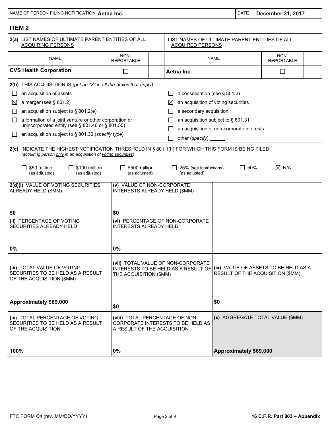NAME OF PERSON FILING NOTIFICATION **Aetna Inc. DATE December 31, 2017** 

**ITEM 2** 

| 2(a) LIST NAMES OF ULTIMATE PARENT ENTITIES OF ALL<br><b>ACQUIRING PERSONS</b>                                                                                      |                               | LIST NAMES OF ULTIMATE PARENT ENTITIES OF ALL<br><b>ACQUIRED PERSONS</b>                                       |                                                                          |                           |  |
|---------------------------------------------------------------------------------------------------------------------------------------------------------------------|-------------------------------|----------------------------------------------------------------------------------------------------------------|--------------------------------------------------------------------------|---------------------------|--|
| <b>NAME</b>                                                                                                                                                         | NON-<br><b>REPORTABLE</b>     |                                                                                                                | <b>NAME</b>                                                              | NON-<br><b>REPORTABLE</b> |  |
| <b>CVS Health Corporation</b>                                                                                                                                       | ⊔                             | Aetna Inc.                                                                                                     |                                                                          | $\Box$                    |  |
| 2(b) THIS ACQUISITION IS (put an "X" in all the boxes that apply)                                                                                                   |                               |                                                                                                                |                                                                          |                           |  |
| an acquisition of assets                                                                                                                                            |                               | a consolidation (see § 801.2)                                                                                  |                                                                          |                           |  |
| a merger (see $\S$ 801.2)<br>⊠                                                                                                                                      |                               | ⊠                                                                                                              | an acquisition of voting securities                                      |                           |  |
| an acquisition subject to § 801.2(e)                                                                                                                                |                               | a secondary acquisition                                                                                        |                                                                          |                           |  |
| a formation of a joint venture or other corporation or<br>unincorporated entity (see § 801.40 or § 801.50)                                                          |                               |                                                                                                                | an acquisition subject to § 801.31                                       |                           |  |
|                                                                                                                                                                     |                               |                                                                                                                | an acquisition of non-corporate interests                                |                           |  |
| an acquisition subject to $\S$ 801.30 (specify type)                                                                                                                |                               | other (specify) _                                                                                              |                                                                          |                           |  |
| 2(c) INDICATE THE HIGHEST NOTIFICATION THRESHOLD IN § 801.1(h) FOR WHICH THIS FORM IS BEING FILED<br>(acquiring person only in an acquisition of voting securities) |                               |                                                                                                                |                                                                          |                           |  |
| \$50 million<br>\$100 million<br>(as adjusted)<br>(as adjusted)                                                                                                     |                               | \$500 million<br>50%<br>25% (see Instructions)<br>$\boxtimes$ N/A<br>$\perp$<br>(as adjusted)<br>(as adjusted) |                                                                          |                           |  |
| 2(d)(i) VALUE OF VOTING SECURITIES<br>ALREADY HELD (\$MM)                                                                                                           |                               | (v) VALUE OF NON-CORPORATE<br>INTERESTS ALREADY HELD (\$MM)                                                    |                                                                          |                           |  |
| \$0                                                                                                                                                                 | \$0                           |                                                                                                                |                                                                          |                           |  |
| (ii) PERCENTAGE OF VOTING<br>SECURITIES ALREADY HELD                                                                                                                | <b>INTERESTS ALREADY HELD</b> | (vi) PERCENTAGE OF NON-CORPORATE                                                                               |                                                                          |                           |  |
| 0%                                                                                                                                                                  | 0%                            |                                                                                                                |                                                                          |                           |  |
| (iii) TOTAL VALUE OF VOTING<br>SECURITIES TO BE HELD AS A RESULT<br>OF THE ACQUISITION (\$MM)                                                                       | THE ACQUISITION (\$MM)        | (vii) TOTAL VALUE OF NON-CORPORATE<br>INTERESTS TO BE HELD AS A RESULT OF                                      | (ix) VALUE OF ASSETS TO BE HELD AS A<br>RESULT OF THE ACQUISITION (\$MM) |                           |  |
| Approximately \$69,000                                                                                                                                              | \$0                           | \$0                                                                                                            |                                                                          |                           |  |
| (iv) TOTAL PERCENTAGE OF VOTING<br>SECURITIES TO BE HELD AS A RESULT<br>OF THE ACQUISITION                                                                          |                               | (viii) TOTAL PERCENTAGE OF NON-<br>CORPORATE INTERESTS TO BE HELD AS<br>A RESULT OF THE ACQUISITION            | (x) AGGREGATE TOTAL VALUE (\$MM)                                         |                           |  |
| 100%                                                                                                                                                                | 0%                            |                                                                                                                | Approximately \$69,000                                                   |                           |  |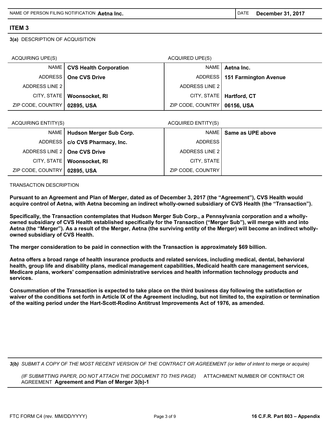## **ITEM 3**

**3(a)** DESCRIPTION OF ACQUISITION

| ACQUIRING UPE(S)  | ACQUIRED UPE(S)               |                   |                                 |
|-------------------|-------------------------------|-------------------|---------------------------------|
|                   | NAME   CVS Health Corporation |                   | NAME   Aetna Inc.               |
|                   | ADDRESS   One CVS Drive       |                   | ADDRESS   151 Farmington Avenue |
| ADDRESS LINE 2    |                               | ADDRESS LINE 2    |                                 |
|                   | CITY, STATE   Woonsocket, RI  |                   | CITY, STATE   Hartford, CT      |
| ZIP CODE, COUNTRY | 02895, USA                    | ZIP CODE, COUNTRY | 06156, USA                      |

| ACQUIRING ENTITY(S)            |                                  | <b>ACQUIRED ENTITY(S)</b> |                          |
|--------------------------------|----------------------------------|---------------------------|--------------------------|
|                                | NAME   Hudson Merger Sub Corp.   |                           | NAME   Same as UPE above |
|                                | ADDRESS   c/o CVS Pharmacy, Inc. | <b>ADDRESS</b>            |                          |
| ADDRESS LINE 2   One CVS Drive |                                  | ADDRESS LINE 2            |                          |
| CITY, STATE I                  | <b>Woonsocket, RI</b>            | CITY, STATE               |                          |
| ZIP CODE, COUNTRY              | 02895, USA                       | ZIP CODE, COUNTRY         |                          |

TRANSACTION DESCRIPTION

**Pursuant to an Agreement and Plan of Merger, dated as of December 3, 2017 (the "Agreement"), CVS Health would acquire control of Aetna, with Aetna becoming an indirect wholly-owned subsidiary of CVS Health (the "Transaction").** 

**Specifically, the Transaction contemplates that Hudson Merger Sub Corp., a Pennsylvania corporation and a whollyowned subsidiary of CVS Health established specifically for the Transaction ("Merger Sub"), will merge with and into Aetna (the "Merger"). As a result of the Merger, Aetna (the surviving entity of the Merger) will become an indirect whollyowned subsidiary of CVS Health.** 

**The merger consideration to be paid in connection with the Transaction is approximately \$69 billion.** 

**Aetna offers a broad range of health insurance products and related services, including medical, dental, behavioral health, group life and disability plans, medical management capabilities, Medicaid health care management services, Medicare plans, workers' compensation administrative services and health information technology products and services.** 

**Consummation of the Transaction is expected to take place on the third business day following the satisfaction or waiver of the conditions set forth in Article IX of the Agreement including, but not limited to, the expiration or termination of the waiting period under the Hart-Scott-Rodino Antitrust Improvements Act of 1976, as amended.** 

*3(b) SUBMIT A COPY OF THE MOST RECENT VERSION OF THE CONTRACT OR AGREEMENT (or letter of intent to merge or acquire)* 

*(IF SUBMITTING PAPER, DO NOT ATTACH THE DOCUMENT TO THIS PAGE)* ATTACHMENT NUMBER OF CONTRACT OR AGREEMENT **Agreement and Plan of Merger 3(b)-1**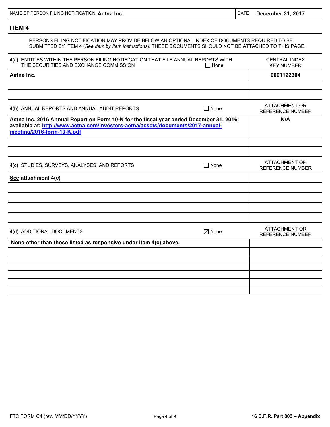NAME OF PERSON FILING NOTIFICATION Aetna Inc. **DATE December 31, 2017** 

## **ITEM 4**

PERSONS FILING NOTIFICATION MAY PROVIDE BELOW AN OPTIONAL INDEX OF DOCUMENTS REQUIRED TO BE SUBMITTED BY ITEM 4 (*See Item by Item instructions*). THESE DOCUMENTS SHOULD NOT BE ATTACHED TO THIS PAGE.

|            | 4(a) ENTITIES WITHIN THE PERSON FILING NOTIFICATION THAT FILE ANNUAL REPORTS WITH<br>THE SECURITIES AND EXCHANGE COMMISSION<br>$\Box$ None                                  | <b>CENTRAL INDEX</b><br><b>KEY NUMBER</b>       |
|------------|-----------------------------------------------------------------------------------------------------------------------------------------------------------------------------|-------------------------------------------------|
| Aetna Inc. |                                                                                                                                                                             | 0001122304                                      |
|            |                                                                                                                                                                             |                                                 |
|            |                                                                                                                                                                             |                                                 |
|            | $\Box$ None<br>4(b) ANNUAL REPORTS AND ANNUAL AUDIT REPORTS                                                                                                                 | <b>ATTACHMENT OR</b><br><b>REFERENCE NUMBER</b> |
|            | Aetna Inc. 2016 Annual Report on Form 10-K for the fiscal year ended December 31, 2016;<br>available at: http://www.aetna.com/investors-aetna/assets/documents/2017-annual- | N/A                                             |
|            | meeting/2016-form-10-K.pdf                                                                                                                                                  |                                                 |
|            |                                                                                                                                                                             |                                                 |
|            |                                                                                                                                                                             |                                                 |
|            | $\Box$ None<br>4(c) STUDIES, SURVEYS, ANALYSES, AND REPORTS                                                                                                                 | <b>ATTACHMENT OR</b><br><b>REFERENCE NUMBER</b> |
|            | See attachment 4(c)                                                                                                                                                         |                                                 |
|            |                                                                                                                                                                             |                                                 |
|            |                                                                                                                                                                             |                                                 |
|            |                                                                                                                                                                             |                                                 |
|            |                                                                                                                                                                             |                                                 |
|            | $\boxtimes$ None<br>4(d) ADDITIONAL DOCUMENTS                                                                                                                               | <b>ATTACHMENT OR</b><br><b>REFERENCE NUMBER</b> |
|            | None other than those listed as responsive under item 4(c) above.                                                                                                           |                                                 |
|            |                                                                                                                                                                             |                                                 |
|            |                                                                                                                                                                             |                                                 |
|            |                                                                                                                                                                             |                                                 |
|            |                                                                                                                                                                             |                                                 |
|            |                                                                                                                                                                             |                                                 |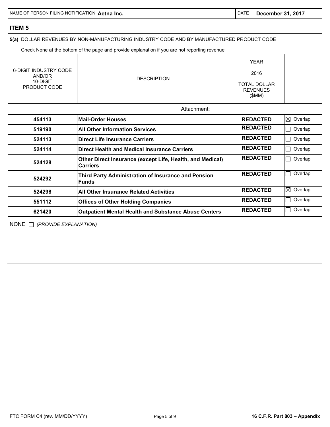NAME OF PERSON FILING NOTIFICATION **Aetna Inc. DATE December 31, 2017** 

**ITEM 5** 

**5(a)** DOLLAR REVENUES BY NON-MANUFACTURING INDUSTRY CODE AND BY MANUFACTURED PRODUCT CODE

Check None at the bottom of the page and provide explanation if you are not reporting revenue

| <b>YEAR</b><br>6-DIGIT INDUSTRY CODE<br>2016<br>AND/OR<br><b>DESCRIPTION</b><br>10-DIGIT<br><b>TOTAL DOLLAR</b><br>PRODUCT CODE<br><b>REVENUES</b><br>(SMM) |  |
|-------------------------------------------------------------------------------------------------------------------------------------------------------------|--|
|-------------------------------------------------------------------------------------------------------------------------------------------------------------|--|

#### Attachment:

| 454113 | <b>Mail-Order Houses</b>                                                     | <b>REDACTED</b> | $\boxtimes$ Overlap     |
|--------|------------------------------------------------------------------------------|-----------------|-------------------------|
| 519190 | <b>All Other Information Services</b>                                        | <b>REDACTED</b> | Overlap<br>ΙI           |
| 524113 | Direct Life Insurance Carriers                                               | <b>REDACTED</b> | П<br>Overlap            |
| 524114 | Direct Health and Medical Insurance Carriers                                 | <b>REDACTED</b> | П<br>Overlap            |
| 524128 | Other Direct Insurance (except Life, Health, and Medical)<br><b>Carriers</b> | <b>REDACTED</b> | Overlap<br>$\mathsf{L}$ |
| 524292 | Third Party Administration of Insurance and Pension<br><b>Funds</b>          | <b>REDACTED</b> | Overlap                 |
| 524298 | All Other Insurance Related Activities                                       | <b>REDACTED</b> | ⊠<br>Overlap            |
| 551112 | <b>Offices of Other Holding Companies</b>                                    | <b>REDACTED</b> | Overlap                 |
| 621420 | <b>Outpatient Mental Health and Substance Abuse Centers</b>                  | <b>REDACTED</b> | Overlap                 |

NONE *(PROVIDE EXPLANATION)*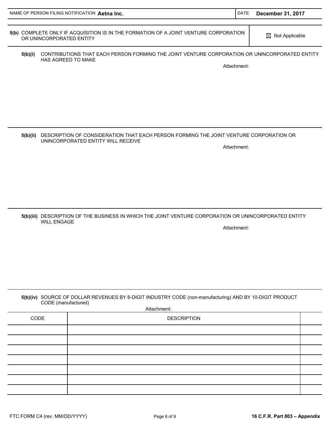# **5(b)** COMPLETE ONLY IF ACQUISITION IS IN THE FORMATION OF A JOINT VENTURE CORPORATION  $\boxtimes$  Not Applicable<br>OR UNINCORPORATED ENTITY

**5(b)(i)** CONTRIBUTIONS THAT EACH PERSON FORMING THE JOINT VENTURE CORPORATION OR UNINCORPORATED ENTITY HAS AGREED TO MAKE

Attachment:

#### **5(b)(ii)** DESCRIPTION OF CONSIDERATION THAT EACH PERSON FORMING THE JOINT VENTURE CORPORATION OR UNINCORPORATED ENTITY WILL RECEIVE

Attachment:

#### **5(b)(iii)** DESCRIPTION OF THE BUSINESS IN WHICH THE JOINT VENTURE CORPORATION OR UNINCORPORATED ENTITY WILL ENGAGE

Attachment:

#### **5(b)(iv)** SOURCE OF DOLLAR REVENUES BY 6-DIGIT INDUSTRY CODE (non-manufacturing) AND BY 10-DIGIT PRODUCT CODE (manufactured) Attachment:

| CODE | <b>DESCRIPTION</b> |  |
|------|--------------------|--|
|      |                    |  |
|      |                    |  |
|      |                    |  |
|      |                    |  |
|      |                    |  |
|      |                    |  |
|      |                    |  |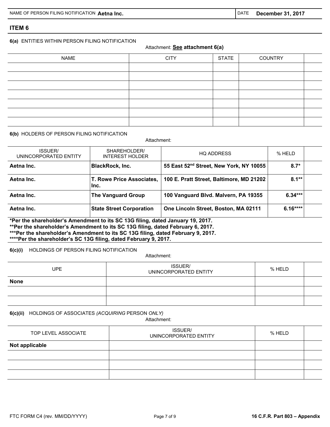## **ITEM 6**

#### **6(a)** ENTITIES WITHIN PERSON FILING NOTIFICATION

#### Attachment: **See attachment 6(a)**

| <b>NAME</b> | <b>CITY</b> | <b>STATE</b> | <b>COUNTRY</b> |  |
|-------------|-------------|--------------|----------------|--|
|             |             |              |                |  |
|             |             |              |                |  |
|             |             |              |                |  |
|             |             |              |                |  |
|             |             |              |                |  |
|             |             |              |                |  |
|             |             |              |                |  |

#### **6(b)** HOLDERS OF PERSON FILING NOTIFICATION

## Attachment:

| <b>ISSUER/</b><br>UNINCORPORATED ENTITY                                          | SHAREHOLDER/<br><b>INTEREST HOLDER</b> | <b>HO ADDRESS</b>                        | % HELD    |  |
|----------------------------------------------------------------------------------|----------------------------------------|------------------------------------------|-----------|--|
| Aetna Inc.                                                                       | <b>BlackRock, Inc.</b>                 | 55 East 52nd Street, New York, NY 10055  | $8.7*$    |  |
| Aetna Inc.                                                                       | T. Rowe Price Associates,<br>Inc.      | 100 E. Pratt Street, Baltimore, MD 21202 | $8.1**$   |  |
| Aetna Inc.                                                                       | <b>The Vanguard Group</b>              | 100 Vanguard Blvd. Malvern, PA 19355     | $6.34***$ |  |
| Aetna Inc.                                                                       | <b>State Street Corporation</b>        | One Lincoln Street, Boston, MA 02111     | $6.16***$ |  |
| $+$ Denthe about baldeda Amerikaan (ta ita OO 40O filipe shatad January 40, 0047 |                                        |                                          |           |  |

#### **\*Per the shareholder's Amendment to its SC 13G filing, dated January 19, 2017. \*\*Per the shareholder's Amendment to its SC 13G filing, dated February 6, 2017. \*\*\*Per the shareholder's Amendment to its SC 13G filing, dated February 9, 2017. \*\*\*\*Per the shareholder's SC 13G filing, dated February 9, 2017.**

**6(c)(i)** HOLDINGS OF PERSON FILING NOTIFICATION

Attachment:

| UPE         | <b>ISSUER/</b><br>UNINCORPORATED ENTITY | % HELD |  |
|-------------|-----------------------------------------|--------|--|
| <b>None</b> |                                         |        |  |
|             |                                         |        |  |
|             |                                         |        |  |

**6(c)(ii)** HOLDINGS OF ASSOCIATES *(ACQUIRING* PERSON *ONLY)* 

Attachment:

| TOP LEVEL ASSOCIATE | <b>ISSUER/</b><br>UNINCORPORATED ENTITY | % HELD |  |
|---------------------|-----------------------------------------|--------|--|
| Not applicable      |                                         |        |  |
|                     |                                         |        |  |
|                     |                                         |        |  |
|                     |                                         |        |  |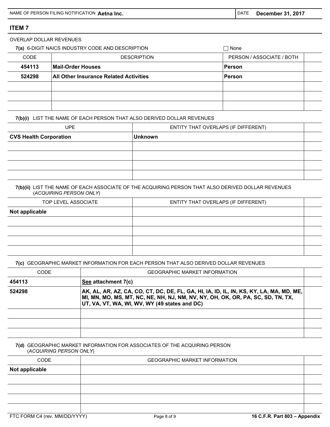## **ITEM 7**

OVERLAP DOLLAR REVENUES

|             | 7(a) 6-DIGIT NAICS INDUSTRY CODE AND DESCRIPTION | ヿ None                    |  |
|-------------|--------------------------------------------------|---------------------------|--|
| <b>CODE</b> | <b>DESCRIPTION</b>                               | PERSON / ASSOCIATE / BOTH |  |
| 454113      | <b>Mail-Order Houses</b>                         | <b>IPerson</b>            |  |
| 524298      | <b>All Other Insurance Related Activities</b>    | <b>Person</b>             |  |
|             |                                                  |                           |  |
|             |                                                  |                           |  |
|             |                                                  |                           |  |

**7(b)(i)** LIST THE NAME OF EACH PERSON THAT ALSO DERIVED DOLLAR REVENUES

| <b>UPE</b>                    | ENTITY THAT OVERLAPS (IF DIFFERENT) |  |
|-------------------------------|-------------------------------------|--|
| <b>CVS Health Corporation</b> | <b>Unknown</b>                      |  |
|                               |                                     |  |
|                               |                                     |  |
|                               |                                     |  |
|                               |                                     |  |

**7(b)(ii)** LIST THE NAME OF EACH ASSOCIATE OF THE ACQUIRING PERSON THAT ALSO DERIVED DOLLAR REVENUES (*ACQUIRING PERSON ONLY*)

| TOP LEVEL ASSOCIATE | ENTITY THAT OVERLAPS (IF DIFFERENT) |  |
|---------------------|-------------------------------------|--|
| Not applicable      |                                     |  |
|                     |                                     |  |
|                     |                                     |  |
|                     |                                     |  |
|                     |                                     |  |

**7(c)** GEOGRAPHIC MARKET INFORMATION FOR EACH PERSON THAT ALSO DERIVED DOLLAR REVENUES

| <b>CODE</b> | <b>GEOGRAPHIC MARKET INFORMATION</b>                                                                                                                                                                                         |  |
|-------------|------------------------------------------------------------------------------------------------------------------------------------------------------------------------------------------------------------------------------|--|
| 454113      | See attachment 7(c)                                                                                                                                                                                                          |  |
| 524298      | AK, AL, AR, AZ, CA, CO, CT, DC, DE, FL, GA, HI, IA, ID, IL, IN, KS, KY, LA, MA, MD, ME, <br>MI, MN, MO, MS, MT, NC, NE, NH, NJ, NM, NV, NY, OH, OK, OR, PA, SC, SD, TN, TX,<br>UT, VA, VT, WA, WI, WV, WY (49 states and DC) |  |
|             |                                                                                                                                                                                                                              |  |
|             |                                                                                                                                                                                                                              |  |
|             |                                                                                                                                                                                                                              |  |

#### **7(d)** GEOGRAPHIC MARKET INFORMATION FOR ASSOCIATES OF THE ACQUIRING PERSON (*ACQUIRING PERSON ONLY*)

| CODE           | <b>GEOGRAPHIC MARKET INFORMATION</b> |  |  |
|----------------|--------------------------------------|--|--|
| Not applicable |                                      |  |  |
|                |                                      |  |  |
|                |                                      |  |  |
|                |                                      |  |  |
|                |                                      |  |  |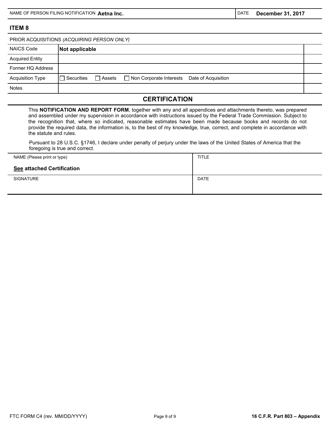NAME OF PERSON FILING NOTIFICATION **Aetna Inc. DATE December 31, 2017** 

## **ITEM 8**

| PRIOR ACQUISITIONS (ACQUIRING PERSON ONLY) |                |               |                                                |  |
|--------------------------------------------|----------------|---------------|------------------------------------------------|--|
| <b>NAICS Code</b>                          | Not applicable |               |                                                |  |
| <b>Acquired Entity</b>                     |                |               |                                                |  |
| Former HQ Address                          |                |               |                                                |  |
| <b>Acquisition Type</b>                    | ∃ Securities   | $\Box$ Assets | □ Non Corporate Interests  Date of Acquisition |  |
| <b>Notes</b>                               |                |               |                                                |  |

# **CERTIFICATION**

This **NOTIFICATION AND REPORT FORM**, together with any and all appendices and attachments thereto, was prepared and assembled under my supervision in accordance with instructions issued by the Federal Trade Commission. Subject to the recognition that, where so indicated, reasonable estimates have been made because books and records do not provide the required data, the information is, to the best of my knowledge, true, correct, and complete in accordance with the statute and rules.

Pursuant to 28 U.S.C. §1746, I declare under penalty of perjury under the laws of the United States of America that the foregoing is true and correct.

| NAME (Please print or type)       | <b>TITLE</b> |
|-----------------------------------|--------------|
| <b>See attached Certification</b> |              |
| <b>SIGNATURE</b>                  | <b>DATE</b>  |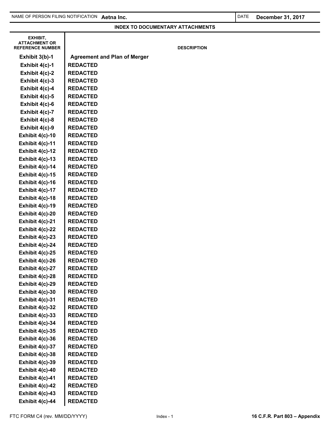#### **INDEX TO DOCUMENTARY ATTACHMENTS**

| EXHIBIT,<br><b>ATTACHMENT OR</b><br><b>REFERENCE NUMBER</b> | <b>DESCRIPTION</b>                  |
|-------------------------------------------------------------|-------------------------------------|
| Exhibit $3(b)-1$                                            | <b>Agreement and Plan of Merger</b> |
| Exhibit 4(c)-1                                              | <b>REDACTED</b>                     |
| Exhibit $4(c)$ -2                                           | <b>REDACTED</b>                     |
| Exhibit $4(c) -3$                                           | <b>REDACTED</b>                     |
| Exhibit $4(c) - 4$                                          | <b>REDACTED</b>                     |
| Exhibit $4(c)$ -5                                           | <b>REDACTED</b>                     |
| Exhibit $4(c)$ -6                                           | <b>REDACTED</b>                     |
| Exhibit $4(c)$ -7                                           | <b>REDACTED</b>                     |
| Exhibit $4(c) - 8$                                          | <b>REDACTED</b>                     |
| Exhibit $4(c) - 9$                                          | <b>REDACTED</b>                     |
| Exhibit 4(c)-10                                             | <b>REDACTED</b>                     |
| Exhibit $4(c) - 11$                                         | <b>REDACTED</b>                     |
| Exhibit $4(c) - 12$                                         | <b>REDACTED</b>                     |
| Exhibit $4(c) - 13$                                         | <b>REDACTED</b>                     |
| Exhibit $4(c) - 14$                                         | <b>REDACTED</b>                     |
| Exhibit $4(c) - 15$                                         | <b>REDACTED</b>                     |
| Exhibit $4(c) - 16$                                         | <b>REDACTED</b>                     |
| Exhibit $4(c)$ -17                                          | <b>REDACTED</b>                     |
| Exhibit $4(c) - 18$                                         | <b>REDACTED</b>                     |
| Exhibit $4(c) - 19$                                         | <b>REDACTED</b>                     |
| Exhibit $4(c)$ -20                                          | <b>REDACTED</b>                     |
| Exhibit $4(c)$ -21                                          | <b>REDACTED</b>                     |
| Exhibit 4(c)-22                                             | <b>REDACTED</b>                     |
| Exhibit $4(c)$ -23                                          | <b>REDACTED</b>                     |
| Exhibit $4(c)$ -24                                          | <b>REDACTED</b>                     |
| Exhibit $4(c)$ -25                                          | <b>REDACTED</b>                     |
| Exhibit $4(c)$ -26                                          | <b>REDACTED</b>                     |
| Exhibit 4(c)-27                                             | <b>REDACTED</b>                     |
| Exhibit 4(c)-28                                             | <b>REDACTED</b>                     |
| Exhibit $4(c)$ -29                                          | <b>REDACTED</b>                     |
| Exhibit $4(c) - 30$                                         | <b>REDACTED</b>                     |
| Exhibit 4(c)-31<br>Exhibit $4(c)$ -32                       | <b>REDACTED</b><br><b>REDACTED</b>  |
| Exhibit $4(c)$ -33                                          | <b>REDACTED</b>                     |
| Exhibit 4(c)-34                                             | <b>REDACTED</b>                     |
| Exhibit $4(c)$ -35                                          | <b>REDACTED</b>                     |
| Exhibit $4(c)$ -36                                          | <b>REDACTED</b>                     |
| Exhibit 4(c)-37                                             | <b>REDACTED</b>                     |
| Exhibit $4(c)$ -38                                          | <b>REDACTED</b>                     |
| Exhibit 4(c)-39                                             | <b>REDACTED</b>                     |
| Exhibit $4(c) - 40$                                         | <b>REDACTED</b>                     |
| Exhibit 4(c)-41                                             | <b>REDACTED</b>                     |
| Exhibit $4(c)$ -42                                          | <b>REDACTED</b>                     |
| Exhibit $4(c)$ -43                                          | <b>REDACTED</b>                     |
| Exhibit 4(c)-44                                             | <b>REDACTED</b>                     |
|                                                             |                                     |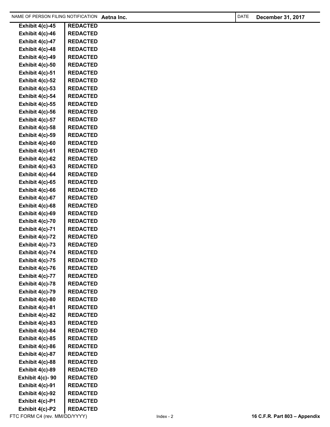| Exhibit $4(c)$ -45  | <b>REDACTED</b> |
|---------------------|-----------------|
| Exhibit $4(c)$ -46  | <b>REDACTED</b> |
| Exhibit $4(c)$ -47  | <b>REDACTED</b> |
| Exhibit $4(c)$ -48  | <b>REDACTED</b> |
| Exhibit $4(c)$ -49  | <b>REDACTED</b> |
| Exhibit $4(c)$ -50  | <b>REDACTED</b> |
| Exhibit $4(c)$ -51  | <b>REDACTED</b> |
| Exhibit $4(c)$ -52  | <b>REDACTED</b> |
| Exhibit $4(c)$ -53  | <b>REDACTED</b> |
| Exhibit $4(c)$ -54  | <b>REDACTED</b> |
| Exhibit $4(c)$ -55  | <b>REDACTED</b> |
| Exhibit $4(c)$ -56  | <b>REDACTED</b> |
| Exhibit $4(c)$ -57  | <b>REDACTED</b> |
| Exhibit $4(c)$ -58  | <b>REDACTED</b> |
| Exhibit $4(c)$ -59  | <b>REDACTED</b> |
| Exhibit $4(c)$ -60  | <b>REDACTED</b> |
| Exhibit $4(c)$ -61  | <b>REDACTED</b> |
| Exhibit $4(c)$ -62  | <b>REDACTED</b> |
| Exhibit $4(c)$ -63  | <b>REDACTED</b> |
| Exhibit $4(c)$ -64  | <b>REDACTED</b> |
| Exhibit $4(c)$ -65  | <b>REDACTED</b> |
| Exhibit $4(c)$ -66  | <b>REDACTED</b> |
| Exhibit $4(c)$ -67  | <b>REDACTED</b> |
| Exhibit $4(c)$ -68  | <b>REDACTED</b> |
| Exhibit $4(c)$ -69  | <b>REDACTED</b> |
| Exhibit $4(c)$ -70  | <b>REDACTED</b> |
| Exhibit $4(c)$ -71  | <b>REDACTED</b> |
| Exhibit 4(c)-72     | <b>REDACTED</b> |
| Exhibit $4(c)$ -73  | <b>REDACTED</b> |
| Exhibit $4(c)$ -74  | <b>REDACTED</b> |
| Exhibit 4(c)-75     | <b>REDACTED</b> |
| Exhibit $4(c)$ -76  | <b>REDACTED</b> |
| Exhibit 4(c)-77     | <b>REDACTED</b> |
| Exhibit $4(c)$ -78  | <b>REDACTED</b> |
| Exhibit 4(c)-79     | <b>REDACTED</b> |
| Exhibit 4(c)-80     | <b>REDACTED</b> |
| Exhibit 4(c)-81     | <b>REDACTED</b> |
| Exhibit 4(c)-82     | <b>REDACTED</b> |
| Exhibit $4(c)$ -83  | <b>REDACTED</b> |
| Exhibit 4(c)-84     | <b>REDACTED</b> |
| Exhibit $4(c)$ -85  | <b>REDACTED</b> |
| Exhibit 4(c)-86     | <b>REDACTED</b> |
| Exhibit 4(c)-87     | <b>REDACTED</b> |
| Exhibit 4(c)-88     | <b>REDACTED</b> |
| Exhibit 4(c)-89     | <b>REDACTED</b> |
| Exhibit $4(c)$ - 90 | <b>REDACTED</b> |
| Exhibit 4(c)-91     | <b>REDACTED</b> |
| Exhibit 4(c)-92     | <b>REDACTED</b> |
| Exhibit 4(c)-P1     | <b>REDACTED</b> |
| Exhibit 4(c)-P2     | <b>REDACTED</b> |